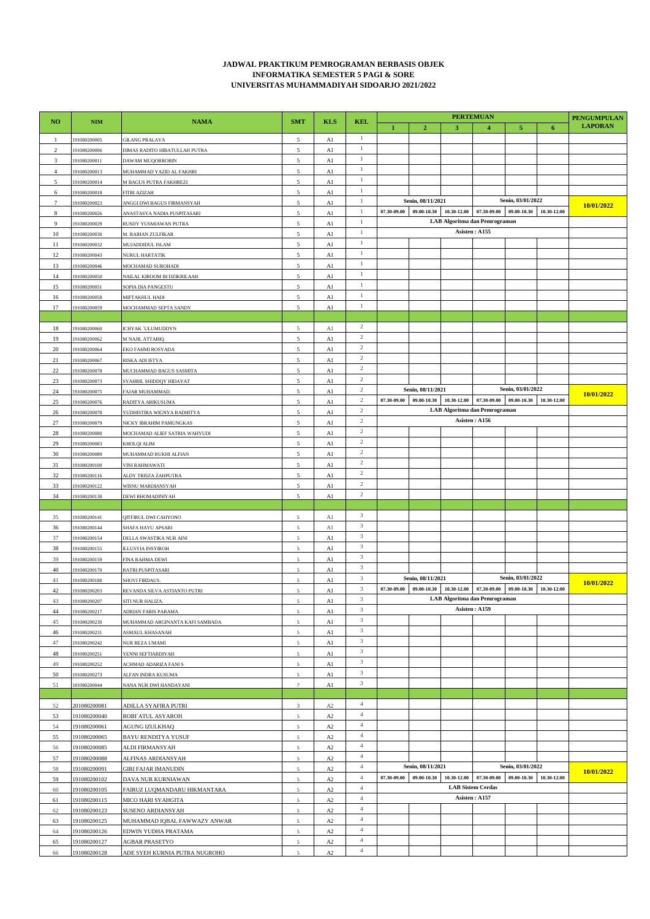## **JADWAL PRAKTIKUM PEMROGRAMAN BERBASIS OBJEK INFORMATIKA SEMESTER 5 PAGI & SORE UNIVERSITAS MUHAMMADIYAH SIDOARJO 2021/2022**

| N <sub>O</sub><br>$\mathbf{NIM}$<br><b>SMT</b><br><b>NAMA</b><br>KLS<br><b>KEL</b><br>$\overline{2}$<br>3<br>$\overline{4}$<br>5<br>1<br>6<br>$\mathbf{1}$<br>$\mathbf{1}$<br>5<br>191080200005<br>A1<br>GILANG PRALAYA<br>$\mathbf{1}$<br>5<br>2<br>191080200006<br>DIMAS RADITO HIBATULLAH PUTRA<br>A1<br>$\mathbf{1}$<br>3<br>191080200011<br>5<br>DAWAM MUQORROBIN<br>Al<br>$\mathbf{1}$<br>5<br>$\overline{4}$<br>191080200013<br>A1<br>MUHAMMAD YAZID AL FAKHRI<br>$\mathbf{1}$<br>5<br>191080200014<br>M BAGUS PUTRA FAKHREZI<br>5<br>A1<br>$\mathbf{1}$<br>5<br>6<br>191080200018<br>FITRI AZIZAH<br>A1<br>Senin, 03/01/2022<br>$\mathbf{1}$<br>Senin, 08/11/2021<br>$\tau$<br>5<br>191080200023<br>ANGGI DWI BAGUS FIRMANSYAH<br>A1<br>07.30-09.00<br>10.30-12.00<br>$\mathbf{1}$<br>07.30-09.00<br>09.00-10.30<br>10.30-12.00<br>09.00-10.30<br>8<br>191080200026<br>ANASTASYA NADIA PUSPITASARI<br>5<br>Al<br><b>LAB Algoritma dan Pemrograman</b><br>$\mathbf{1}$<br>9<br>5<br>191080200029<br>A1<br>RUSDY YUSMIAWAN PUTRA<br>$\,1\,$<br>Asisten: A155<br>10<br>191080200030<br>M. RAIHAN ZULFIKAR<br>5<br>A1<br>$\mathbf{1}$<br>$11\,$<br>5<br>191080200032<br>MUJADDIDUL ISLAM<br>A1<br>$\mathbf{1}$<br>5<br>12<br>191080200043<br>A1<br>NURUL HARTATIK<br>$\mathbf{1}$<br>13<br>191080200046<br>5<br>MOCHAMAD SUROHADI<br>Al<br>$\mathbf{1}$<br>5<br>14<br>191080200050<br>A1<br>NAILAL KIROOM BI DZIKRILAAH<br>$\mathbf{1}$<br>5<br>15<br>191080200051<br>SOPIA DIA PANGESTU<br>A1<br>$\mathbf{1}$<br>5<br>16<br>191080200058<br>MIFTAKHUL HADI<br>A1<br>$\mathbf{1}$<br>5<br>17<br>191080200059<br>MOCHAMMAD SEPTA SANDY<br>A1<br>$\overline{c}$<br>18<br>191080200060<br>5<br>A1<br>ICHYAK 'ULUMUDDYN<br>$\sqrt{2}$<br>5<br>19<br>191080200062<br>A1<br>M NAJIL ATTABIQ<br>$\overline{c}$<br>$20\,$<br>5<br>191080200064<br>A1<br>EKO FAHMI ROSYADA<br>$\overline{c}$<br>5<br>21<br>191080200067<br>A1<br>RISKA ADI ISTYA<br>$\overline{c}$<br>$22\,$<br>5<br>191080200070<br>MUCHAMMAD BAGUS SASMITA<br>Al<br>$\sqrt{2}$<br>23<br>191080200073<br>5<br>A1<br>SYAHRIL SHIDDQY HIDAYAT<br>$\,2\,$<br>Senin, 03/01/2022<br>Senin, 08/11/2021<br>$24\,$<br>5<br>191080200075<br>FAJAR MUHAMMAD.<br>A1<br>10/01/2022<br>$\sqrt{2}$<br>07.30-09.00<br>09.00-10.30<br>07.30-09.00<br>09.00-10.30<br>10.30-12.00<br>10.30-12.00<br>25<br>5<br>191080200076<br>A1<br>RADITYA ARIKUSUMA<br>$\overline{c}$<br>LAB Algoritma dan Pemrograman<br>5<br>26<br>191080200078<br>YUDHISTIRA WIGNYA RADHITYA<br>A1<br>$\overline{c}$<br>Asisten: A156<br>27<br>5<br>191080200079<br>NICKY IBRAHIM PAMUNGKAS<br>Al<br>$\sqrt{2}$<br>28<br>191080200080<br>5<br>A1<br>MOCHAMAD ALIEF SATRIA WAHYUDI<br>$\,2\,$<br>29<br>5<br>191080200083<br>A1<br>KHOLQI ALIM<br>$\overline{c}$<br>5<br>30<br>191080200089<br>MUHAMMAD RUKHI ALFIAN<br>A1<br>$\overline{c}$<br>5<br>31<br>191080200100<br><b>VINI RAHMAWATI</b><br>A1<br>$\overline{c}$<br>32<br>5<br>191080200116<br>ALDY TRISZA ZAHPUTRA<br>Al<br>$\sqrt{2}$<br>33<br>191080200122<br>5<br>A1<br>WISNU MARDIANSYAH<br>$\overline{c}$<br>34<br>5<br>191080200138<br>DEWI RHOMADINIYAH<br>A1<br>3<br>35<br>191080200141<br>QITFIRUL DWI CAHYONO<br>5<br>A1<br>$\sqrt{3}$<br>36<br>191080200144<br>5<br>A1<br>SHAFA HAYU APSARI<br>$\sqrt{3}$<br>37<br>191080200154<br>A1<br>DELLA SWASTIKA NUR AINI<br>5<br>$\mathfrak{Z}$<br>38<br>191080200155<br>5<br>A1<br>ILLUSYIA INSYIROH<br>$\mathfrak{Z}$<br>39<br>191080200159<br>5<br>A1<br>FINA RAHMA DEWI<br>$\mathfrak{Z}$<br>40<br>191080200170<br>RATIH PUSPITASARI<br>A1<br>5<br>Senin, 03/01/2022<br>3<br>Senin, 08/11/2021<br>41<br>191080200188<br>SHOVI FIRDAUS.<br>5<br>Al<br>10/01/2022<br>$\sqrt{3}$<br>09.00-10.30<br>10.30-12.00<br>07.30-09.00<br>09.00-10.30<br>10.30-12.00<br>07.30-09.00<br>42<br>191080200203<br>Al<br>REVANDA SILVA ASTIANTO PUTRI<br>5<br>$\mathfrak{Z}$<br>LAB Algoritma dan Pemrograman<br>43<br>191080200207<br>SITI NUR HALIZA.<br>$\sqrt{5}$<br>A1<br>Asisten: A159<br>3<br>44<br>191080200217<br>5<br>A1<br>ADRIAN FARIS PARAMA<br>$\mathfrak{Z}$<br>45<br>A1<br>191080200230<br>MUHAMMAD ARGINANTA KAFI SAMBADA<br>5 <sub>1</sub><br>$\sqrt{3}$<br>46<br>191080200231<br>ASMAUL KHASANAH<br>5<br>A1<br>$\mathfrak{Z}$<br>191080200242<br>NUR REZA UMAMI<br>A1<br>47<br>$5^{\circ}$<br>$\mathfrak{Z}$<br>48<br>191080200251<br>YENNI SEFTIARDIYAH<br>5 <sup>1</sup><br>A1<br>$\mathfrak{Z}$<br>49<br>191080200252<br>5<br>A1<br>ACHMAD ADARIZA FANI S<br>$\mathfrak{Z}$<br>50<br>A1<br>191080200273<br>ALFAN INDRA KUSUMA<br>$5^{\circ}$<br>$\sqrt{3}$<br>51<br>181080200044<br>$\overline{7}$<br>A1<br>NANA NUR DWI HANDAYANI<br>$\overline{4}$<br>201080200081<br>ADILLA SYAFIRA PUTRI<br>$\overline{3}$<br>52<br>A2<br>$\overline{4}$<br>191080200040<br>$5^{\circ}$<br>53<br>ROBI ATUL ASYAROH<br>$\mathbf{A2}$<br>$\overline{4}$<br>54<br>191080200061<br>$\rm A2$<br>AGUNG IZULKHAQ<br>$5^{\circ}$<br>$\overline{4}$<br>191080200065<br>BAYU RENDITYA YUSUF<br>55<br>5<br>A2<br>$\overline{4}$<br>191080200085<br>ALDI FIRMANSYAH<br>$\rm A2$<br>56<br>$5^{\circ}$<br>$\overline{4}$<br>57<br>191080200088<br>ALFINAS ARDIANSYAH<br>5 <sup>1</sup><br>A2<br>$\overline{4}$<br>Senin, 03/01/2022<br>Senin, 08/11/2021<br>191080200091<br>58<br><b>GIRI FAJAR IMANUDIN</b><br>$5^{\circ}$<br>$\mathbf{A2}$<br>$\overline{4}$<br>07.30-09.00<br>10.30-12.00<br>07.30-09.00<br>09.00-10.30<br>10.30-12.00<br>09.00-10.30<br>59<br>191080200102<br>DAVA NUR KURNIAWAN<br>$\rm A2$<br>5 <sup>1</sup><br><b>LAB Sistem Cerdas</b><br>$\overline{4}$<br>191080200105<br>FAIRUZ LUQMANDARU HIKMANTARA<br>$\mathbf{A2}$<br>60<br>$5^{\circ}$ |  |  |  | <b>PERTEMUAN</b> |  |  |  |  | <b>PENGUMPULAN</b> |                |
|--------------------------------------------------------------------------------------------------------------------------------------------------------------------------------------------------------------------------------------------------------------------------------------------------------------------------------------------------------------------------------------------------------------------------------------------------------------------------------------------------------------------------------------------------------------------------------------------------------------------------------------------------------------------------------------------------------------------------------------------------------------------------------------------------------------------------------------------------------------------------------------------------------------------------------------------------------------------------------------------------------------------------------------------------------------------------------------------------------------------------------------------------------------------------------------------------------------------------------------------------------------------------------------------------------------------------------------------------------------------------------------------------------------------------------------------------------------------------------------------------------------------------------------------------------------------------------------------------------------------------------------------------------------------------------------------------------------------------------------------------------------------------------------------------------------------------------------------------------------------------------------------------------------------------------------------------------------------------------------------------------------------------------------------------------------------------------------------------------------------------------------------------------------------------------------------------------------------------------------------------------------------------------------------------------------------------------------------------------------------------------------------------------------------------------------------------------------------------------------------------------------------------------------------------------------------------------------------------------------------------------------------------------------------------------------------------------------------------------------------------------------------------------------------------------------------------------------------------------------------------------------------------------------------------------------------------------------------------------------------------------------------------------------------------------------------------------------------------------------------------------------------------------------------------------------------------------------------------------------------------------------------------------------------------------------------------------------------------------------------------------------------------------------------------------------------------------------------------------------------------------------------------------------------------------------------------------------------------------------------------------------------------------------------------------------------------------------------------------------------------------------------------------------------------------------------------------------------------------------------------------------------------------------------------------------------------------------------------------------------------------------------------------------------------------------------------------------------------------------------------------------------------------------------------------------------------------------------------------------------------------------------------------------------------------------------------------------------------------------------------------------------------------------------------------------------------------------------------------------------------------------------------------------------------------------------------------------------------------------------------------------------------------------------------------------------------------------------------------------------------------------------------------------------------------------------------------------------------------------------------------------------------------------------------------------------------------------------------------------------------------------------------------------------------------------------------------------------------------------------------------------------------------------------------------------------------------------------------------------------------------------------------------------------------------------------------------------------------------------------------------------------------------------------------------------------------------------------------------------------------------------------------------------------------------------------------------------------------------------------------------------------------------------------------------|--|--|--|------------------|--|--|--|--|--------------------|----------------|
|                                                                                                                                                                                                                                                                                                                                                                                                                                                                                                                                                                                                                                                                                                                                                                                                                                                                                                                                                                                                                                                                                                                                                                                                                                                                                                                                                                                                                                                                                                                                                                                                                                                                                                                                                                                                                                                                                                                                                                                                                                                                                                                                                                                                                                                                                                                                                                                                                                                                                                                                                                                                                                                                                                                                                                                                                                                                                                                                                                                                                                                                                                                                                                                                                                                                                                                                                                                                                                                                                                                                                                                                                                                                                                                                                                                                                                                                                                                                                                                                                                                                                                                                                                                                                                                                                                                                                                                                                                                                                                                                                                                                                                                                                                                                                                                                                                                                                                                                                                                                                                                                                                                                                                                                                                                                                                                                                                                                                                                                                                                                                                                                                                                                                |  |  |  |                  |  |  |  |  |                    | <b>LAPORAN</b> |
|                                                                                                                                                                                                                                                                                                                                                                                                                                                                                                                                                                                                                                                                                                                                                                                                                                                                                                                                                                                                                                                                                                                                                                                                                                                                                                                                                                                                                                                                                                                                                                                                                                                                                                                                                                                                                                                                                                                                                                                                                                                                                                                                                                                                                                                                                                                                                                                                                                                                                                                                                                                                                                                                                                                                                                                                                                                                                                                                                                                                                                                                                                                                                                                                                                                                                                                                                                                                                                                                                                                                                                                                                                                                                                                                                                                                                                                                                                                                                                                                                                                                                                                                                                                                                                                                                                                                                                                                                                                                                                                                                                                                                                                                                                                                                                                                                                                                                                                                                                                                                                                                                                                                                                                                                                                                                                                                                                                                                                                                                                                                                                                                                                                                                |  |  |  |                  |  |  |  |  |                    |                |
|                                                                                                                                                                                                                                                                                                                                                                                                                                                                                                                                                                                                                                                                                                                                                                                                                                                                                                                                                                                                                                                                                                                                                                                                                                                                                                                                                                                                                                                                                                                                                                                                                                                                                                                                                                                                                                                                                                                                                                                                                                                                                                                                                                                                                                                                                                                                                                                                                                                                                                                                                                                                                                                                                                                                                                                                                                                                                                                                                                                                                                                                                                                                                                                                                                                                                                                                                                                                                                                                                                                                                                                                                                                                                                                                                                                                                                                                                                                                                                                                                                                                                                                                                                                                                                                                                                                                                                                                                                                                                                                                                                                                                                                                                                                                                                                                                                                                                                                                                                                                                                                                                                                                                                                                                                                                                                                                                                                                                                                                                                                                                                                                                                                                                |  |  |  |                  |  |  |  |  |                    |                |
|                                                                                                                                                                                                                                                                                                                                                                                                                                                                                                                                                                                                                                                                                                                                                                                                                                                                                                                                                                                                                                                                                                                                                                                                                                                                                                                                                                                                                                                                                                                                                                                                                                                                                                                                                                                                                                                                                                                                                                                                                                                                                                                                                                                                                                                                                                                                                                                                                                                                                                                                                                                                                                                                                                                                                                                                                                                                                                                                                                                                                                                                                                                                                                                                                                                                                                                                                                                                                                                                                                                                                                                                                                                                                                                                                                                                                                                                                                                                                                                                                                                                                                                                                                                                                                                                                                                                                                                                                                                                                                                                                                                                                                                                                                                                                                                                                                                                                                                                                                                                                                                                                                                                                                                                                                                                                                                                                                                                                                                                                                                                                                                                                                                                                |  |  |  |                  |  |  |  |  |                    |                |
|                                                                                                                                                                                                                                                                                                                                                                                                                                                                                                                                                                                                                                                                                                                                                                                                                                                                                                                                                                                                                                                                                                                                                                                                                                                                                                                                                                                                                                                                                                                                                                                                                                                                                                                                                                                                                                                                                                                                                                                                                                                                                                                                                                                                                                                                                                                                                                                                                                                                                                                                                                                                                                                                                                                                                                                                                                                                                                                                                                                                                                                                                                                                                                                                                                                                                                                                                                                                                                                                                                                                                                                                                                                                                                                                                                                                                                                                                                                                                                                                                                                                                                                                                                                                                                                                                                                                                                                                                                                                                                                                                                                                                                                                                                                                                                                                                                                                                                                                                                                                                                                                                                                                                                                                                                                                                                                                                                                                                                                                                                                                                                                                                                                                                |  |  |  |                  |  |  |  |  |                    |                |
|                                                                                                                                                                                                                                                                                                                                                                                                                                                                                                                                                                                                                                                                                                                                                                                                                                                                                                                                                                                                                                                                                                                                                                                                                                                                                                                                                                                                                                                                                                                                                                                                                                                                                                                                                                                                                                                                                                                                                                                                                                                                                                                                                                                                                                                                                                                                                                                                                                                                                                                                                                                                                                                                                                                                                                                                                                                                                                                                                                                                                                                                                                                                                                                                                                                                                                                                                                                                                                                                                                                                                                                                                                                                                                                                                                                                                                                                                                                                                                                                                                                                                                                                                                                                                                                                                                                                                                                                                                                                                                                                                                                                                                                                                                                                                                                                                                                                                                                                                                                                                                                                                                                                                                                                                                                                                                                                                                                                                                                                                                                                                                                                                                                                                |  |  |  |                  |  |  |  |  |                    |                |
|                                                                                                                                                                                                                                                                                                                                                                                                                                                                                                                                                                                                                                                                                                                                                                                                                                                                                                                                                                                                                                                                                                                                                                                                                                                                                                                                                                                                                                                                                                                                                                                                                                                                                                                                                                                                                                                                                                                                                                                                                                                                                                                                                                                                                                                                                                                                                                                                                                                                                                                                                                                                                                                                                                                                                                                                                                                                                                                                                                                                                                                                                                                                                                                                                                                                                                                                                                                                                                                                                                                                                                                                                                                                                                                                                                                                                                                                                                                                                                                                                                                                                                                                                                                                                                                                                                                                                                                                                                                                                                                                                                                                                                                                                                                                                                                                                                                                                                                                                                                                                                                                                                                                                                                                                                                                                                                                                                                                                                                                                                                                                                                                                                                                                |  |  |  |                  |  |  |  |  |                    |                |
|                                                                                                                                                                                                                                                                                                                                                                                                                                                                                                                                                                                                                                                                                                                                                                                                                                                                                                                                                                                                                                                                                                                                                                                                                                                                                                                                                                                                                                                                                                                                                                                                                                                                                                                                                                                                                                                                                                                                                                                                                                                                                                                                                                                                                                                                                                                                                                                                                                                                                                                                                                                                                                                                                                                                                                                                                                                                                                                                                                                                                                                                                                                                                                                                                                                                                                                                                                                                                                                                                                                                                                                                                                                                                                                                                                                                                                                                                                                                                                                                                                                                                                                                                                                                                                                                                                                                                                                                                                                                                                                                                                                                                                                                                                                                                                                                                                                                                                                                                                                                                                                                                                                                                                                                                                                                                                                                                                                                                                                                                                                                                                                                                                                                                |  |  |  |                  |  |  |  |  |                    | 10/01/2022     |
|                                                                                                                                                                                                                                                                                                                                                                                                                                                                                                                                                                                                                                                                                                                                                                                                                                                                                                                                                                                                                                                                                                                                                                                                                                                                                                                                                                                                                                                                                                                                                                                                                                                                                                                                                                                                                                                                                                                                                                                                                                                                                                                                                                                                                                                                                                                                                                                                                                                                                                                                                                                                                                                                                                                                                                                                                                                                                                                                                                                                                                                                                                                                                                                                                                                                                                                                                                                                                                                                                                                                                                                                                                                                                                                                                                                                                                                                                                                                                                                                                                                                                                                                                                                                                                                                                                                                                                                                                                                                                                                                                                                                                                                                                                                                                                                                                                                                                                                                                                                                                                                                                                                                                                                                                                                                                                                                                                                                                                                                                                                                                                                                                                                                                |  |  |  |                  |  |  |  |  |                    |                |
|                                                                                                                                                                                                                                                                                                                                                                                                                                                                                                                                                                                                                                                                                                                                                                                                                                                                                                                                                                                                                                                                                                                                                                                                                                                                                                                                                                                                                                                                                                                                                                                                                                                                                                                                                                                                                                                                                                                                                                                                                                                                                                                                                                                                                                                                                                                                                                                                                                                                                                                                                                                                                                                                                                                                                                                                                                                                                                                                                                                                                                                                                                                                                                                                                                                                                                                                                                                                                                                                                                                                                                                                                                                                                                                                                                                                                                                                                                                                                                                                                                                                                                                                                                                                                                                                                                                                                                                                                                                                                                                                                                                                                                                                                                                                                                                                                                                                                                                                                                                                                                                                                                                                                                                                                                                                                                                                                                                                                                                                                                                                                                                                                                                                                |  |  |  |                  |  |  |  |  |                    |                |
|                                                                                                                                                                                                                                                                                                                                                                                                                                                                                                                                                                                                                                                                                                                                                                                                                                                                                                                                                                                                                                                                                                                                                                                                                                                                                                                                                                                                                                                                                                                                                                                                                                                                                                                                                                                                                                                                                                                                                                                                                                                                                                                                                                                                                                                                                                                                                                                                                                                                                                                                                                                                                                                                                                                                                                                                                                                                                                                                                                                                                                                                                                                                                                                                                                                                                                                                                                                                                                                                                                                                                                                                                                                                                                                                                                                                                                                                                                                                                                                                                                                                                                                                                                                                                                                                                                                                                                                                                                                                                                                                                                                                                                                                                                                                                                                                                                                                                                                                                                                                                                                                                                                                                                                                                                                                                                                                                                                                                                                                                                                                                                                                                                                                                |  |  |  |                  |  |  |  |  |                    |                |
|                                                                                                                                                                                                                                                                                                                                                                                                                                                                                                                                                                                                                                                                                                                                                                                                                                                                                                                                                                                                                                                                                                                                                                                                                                                                                                                                                                                                                                                                                                                                                                                                                                                                                                                                                                                                                                                                                                                                                                                                                                                                                                                                                                                                                                                                                                                                                                                                                                                                                                                                                                                                                                                                                                                                                                                                                                                                                                                                                                                                                                                                                                                                                                                                                                                                                                                                                                                                                                                                                                                                                                                                                                                                                                                                                                                                                                                                                                                                                                                                                                                                                                                                                                                                                                                                                                                                                                                                                                                                                                                                                                                                                                                                                                                                                                                                                                                                                                                                                                                                                                                                                                                                                                                                                                                                                                                                                                                                                                                                                                                                                                                                                                                                                |  |  |  |                  |  |  |  |  |                    |                |
|                                                                                                                                                                                                                                                                                                                                                                                                                                                                                                                                                                                                                                                                                                                                                                                                                                                                                                                                                                                                                                                                                                                                                                                                                                                                                                                                                                                                                                                                                                                                                                                                                                                                                                                                                                                                                                                                                                                                                                                                                                                                                                                                                                                                                                                                                                                                                                                                                                                                                                                                                                                                                                                                                                                                                                                                                                                                                                                                                                                                                                                                                                                                                                                                                                                                                                                                                                                                                                                                                                                                                                                                                                                                                                                                                                                                                                                                                                                                                                                                                                                                                                                                                                                                                                                                                                                                                                                                                                                                                                                                                                                                                                                                                                                                                                                                                                                                                                                                                                                                                                                                                                                                                                                                                                                                                                                                                                                                                                                                                                                                                                                                                                                                                |  |  |  |                  |  |  |  |  |                    |                |
|                                                                                                                                                                                                                                                                                                                                                                                                                                                                                                                                                                                                                                                                                                                                                                                                                                                                                                                                                                                                                                                                                                                                                                                                                                                                                                                                                                                                                                                                                                                                                                                                                                                                                                                                                                                                                                                                                                                                                                                                                                                                                                                                                                                                                                                                                                                                                                                                                                                                                                                                                                                                                                                                                                                                                                                                                                                                                                                                                                                                                                                                                                                                                                                                                                                                                                                                                                                                                                                                                                                                                                                                                                                                                                                                                                                                                                                                                                                                                                                                                                                                                                                                                                                                                                                                                                                                                                                                                                                                                                                                                                                                                                                                                                                                                                                                                                                                                                                                                                                                                                                                                                                                                                                                                                                                                                                                                                                                                                                                                                                                                                                                                                                                                |  |  |  |                  |  |  |  |  |                    |                |
|                                                                                                                                                                                                                                                                                                                                                                                                                                                                                                                                                                                                                                                                                                                                                                                                                                                                                                                                                                                                                                                                                                                                                                                                                                                                                                                                                                                                                                                                                                                                                                                                                                                                                                                                                                                                                                                                                                                                                                                                                                                                                                                                                                                                                                                                                                                                                                                                                                                                                                                                                                                                                                                                                                                                                                                                                                                                                                                                                                                                                                                                                                                                                                                                                                                                                                                                                                                                                                                                                                                                                                                                                                                                                                                                                                                                                                                                                                                                                                                                                                                                                                                                                                                                                                                                                                                                                                                                                                                                                                                                                                                                                                                                                                                                                                                                                                                                                                                                                                                                                                                                                                                                                                                                                                                                                                                                                                                                                                                                                                                                                                                                                                                                                |  |  |  |                  |  |  |  |  |                    |                |
|                                                                                                                                                                                                                                                                                                                                                                                                                                                                                                                                                                                                                                                                                                                                                                                                                                                                                                                                                                                                                                                                                                                                                                                                                                                                                                                                                                                                                                                                                                                                                                                                                                                                                                                                                                                                                                                                                                                                                                                                                                                                                                                                                                                                                                                                                                                                                                                                                                                                                                                                                                                                                                                                                                                                                                                                                                                                                                                                                                                                                                                                                                                                                                                                                                                                                                                                                                                                                                                                                                                                                                                                                                                                                                                                                                                                                                                                                                                                                                                                                                                                                                                                                                                                                                                                                                                                                                                                                                                                                                                                                                                                                                                                                                                                                                                                                                                                                                                                                                                                                                                                                                                                                                                                                                                                                                                                                                                                                                                                                                                                                                                                                                                                                |  |  |  |                  |  |  |  |  |                    |                |
|                                                                                                                                                                                                                                                                                                                                                                                                                                                                                                                                                                                                                                                                                                                                                                                                                                                                                                                                                                                                                                                                                                                                                                                                                                                                                                                                                                                                                                                                                                                                                                                                                                                                                                                                                                                                                                                                                                                                                                                                                                                                                                                                                                                                                                                                                                                                                                                                                                                                                                                                                                                                                                                                                                                                                                                                                                                                                                                                                                                                                                                                                                                                                                                                                                                                                                                                                                                                                                                                                                                                                                                                                                                                                                                                                                                                                                                                                                                                                                                                                                                                                                                                                                                                                                                                                                                                                                                                                                                                                                                                                                                                                                                                                                                                                                                                                                                                                                                                                                                                                                                                                                                                                                                                                                                                                                                                                                                                                                                                                                                                                                                                                                                                                |  |  |  |                  |  |  |  |  |                    |                |
|                                                                                                                                                                                                                                                                                                                                                                                                                                                                                                                                                                                                                                                                                                                                                                                                                                                                                                                                                                                                                                                                                                                                                                                                                                                                                                                                                                                                                                                                                                                                                                                                                                                                                                                                                                                                                                                                                                                                                                                                                                                                                                                                                                                                                                                                                                                                                                                                                                                                                                                                                                                                                                                                                                                                                                                                                                                                                                                                                                                                                                                                                                                                                                                                                                                                                                                                                                                                                                                                                                                                                                                                                                                                                                                                                                                                                                                                                                                                                                                                                                                                                                                                                                                                                                                                                                                                                                                                                                                                                                                                                                                                                                                                                                                                                                                                                                                                                                                                                                                                                                                                                                                                                                                                                                                                                                                                                                                                                                                                                                                                                                                                                                                                                |  |  |  |                  |  |  |  |  |                    |                |
|                                                                                                                                                                                                                                                                                                                                                                                                                                                                                                                                                                                                                                                                                                                                                                                                                                                                                                                                                                                                                                                                                                                                                                                                                                                                                                                                                                                                                                                                                                                                                                                                                                                                                                                                                                                                                                                                                                                                                                                                                                                                                                                                                                                                                                                                                                                                                                                                                                                                                                                                                                                                                                                                                                                                                                                                                                                                                                                                                                                                                                                                                                                                                                                                                                                                                                                                                                                                                                                                                                                                                                                                                                                                                                                                                                                                                                                                                                                                                                                                                                                                                                                                                                                                                                                                                                                                                                                                                                                                                                                                                                                                                                                                                                                                                                                                                                                                                                                                                                                                                                                                                                                                                                                                                                                                                                                                                                                                                                                                                                                                                                                                                                                                                |  |  |  |                  |  |  |  |  |                    |                |
|                                                                                                                                                                                                                                                                                                                                                                                                                                                                                                                                                                                                                                                                                                                                                                                                                                                                                                                                                                                                                                                                                                                                                                                                                                                                                                                                                                                                                                                                                                                                                                                                                                                                                                                                                                                                                                                                                                                                                                                                                                                                                                                                                                                                                                                                                                                                                                                                                                                                                                                                                                                                                                                                                                                                                                                                                                                                                                                                                                                                                                                                                                                                                                                                                                                                                                                                                                                                                                                                                                                                                                                                                                                                                                                                                                                                                                                                                                                                                                                                                                                                                                                                                                                                                                                                                                                                                                                                                                                                                                                                                                                                                                                                                                                                                                                                                                                                                                                                                                                                                                                                                                                                                                                                                                                                                                                                                                                                                                                                                                                                                                                                                                                                                |  |  |  |                  |  |  |  |  |                    |                |
|                                                                                                                                                                                                                                                                                                                                                                                                                                                                                                                                                                                                                                                                                                                                                                                                                                                                                                                                                                                                                                                                                                                                                                                                                                                                                                                                                                                                                                                                                                                                                                                                                                                                                                                                                                                                                                                                                                                                                                                                                                                                                                                                                                                                                                                                                                                                                                                                                                                                                                                                                                                                                                                                                                                                                                                                                                                                                                                                                                                                                                                                                                                                                                                                                                                                                                                                                                                                                                                                                                                                                                                                                                                                                                                                                                                                                                                                                                                                                                                                                                                                                                                                                                                                                                                                                                                                                                                                                                                                                                                                                                                                                                                                                                                                                                                                                                                                                                                                                                                                                                                                                                                                                                                                                                                                                                                                                                                                                                                                                                                                                                                                                                                                                |  |  |  |                  |  |  |  |  |                    |                |
|                                                                                                                                                                                                                                                                                                                                                                                                                                                                                                                                                                                                                                                                                                                                                                                                                                                                                                                                                                                                                                                                                                                                                                                                                                                                                                                                                                                                                                                                                                                                                                                                                                                                                                                                                                                                                                                                                                                                                                                                                                                                                                                                                                                                                                                                                                                                                                                                                                                                                                                                                                                                                                                                                                                                                                                                                                                                                                                                                                                                                                                                                                                                                                                                                                                                                                                                                                                                                                                                                                                                                                                                                                                                                                                                                                                                                                                                                                                                                                                                                                                                                                                                                                                                                                                                                                                                                                                                                                                                                                                                                                                                                                                                                                                                                                                                                                                                                                                                                                                                                                                                                                                                                                                                                                                                                                                                                                                                                                                                                                                                                                                                                                                                                |  |  |  |                  |  |  |  |  |                    |                |
|                                                                                                                                                                                                                                                                                                                                                                                                                                                                                                                                                                                                                                                                                                                                                                                                                                                                                                                                                                                                                                                                                                                                                                                                                                                                                                                                                                                                                                                                                                                                                                                                                                                                                                                                                                                                                                                                                                                                                                                                                                                                                                                                                                                                                                                                                                                                                                                                                                                                                                                                                                                                                                                                                                                                                                                                                                                                                                                                                                                                                                                                                                                                                                                                                                                                                                                                                                                                                                                                                                                                                                                                                                                                                                                                                                                                                                                                                                                                                                                                                                                                                                                                                                                                                                                                                                                                                                                                                                                                                                                                                                                                                                                                                                                                                                                                                                                                                                                                                                                                                                                                                                                                                                                                                                                                                                                                                                                                                                                                                                                                                                                                                                                                                |  |  |  |                  |  |  |  |  |                    |                |
|                                                                                                                                                                                                                                                                                                                                                                                                                                                                                                                                                                                                                                                                                                                                                                                                                                                                                                                                                                                                                                                                                                                                                                                                                                                                                                                                                                                                                                                                                                                                                                                                                                                                                                                                                                                                                                                                                                                                                                                                                                                                                                                                                                                                                                                                                                                                                                                                                                                                                                                                                                                                                                                                                                                                                                                                                                                                                                                                                                                                                                                                                                                                                                                                                                                                                                                                                                                                                                                                                                                                                                                                                                                                                                                                                                                                                                                                                                                                                                                                                                                                                                                                                                                                                                                                                                                                                                                                                                                                                                                                                                                                                                                                                                                                                                                                                                                                                                                                                                                                                                                                                                                                                                                                                                                                                                                                                                                                                                                                                                                                                                                                                                                                                |  |  |  |                  |  |  |  |  |                    |                |
|                                                                                                                                                                                                                                                                                                                                                                                                                                                                                                                                                                                                                                                                                                                                                                                                                                                                                                                                                                                                                                                                                                                                                                                                                                                                                                                                                                                                                                                                                                                                                                                                                                                                                                                                                                                                                                                                                                                                                                                                                                                                                                                                                                                                                                                                                                                                                                                                                                                                                                                                                                                                                                                                                                                                                                                                                                                                                                                                                                                                                                                                                                                                                                                                                                                                                                                                                                                                                                                                                                                                                                                                                                                                                                                                                                                                                                                                                                                                                                                                                                                                                                                                                                                                                                                                                                                                                                                                                                                                                                                                                                                                                                                                                                                                                                                                                                                                                                                                                                                                                                                                                                                                                                                                                                                                                                                                                                                                                                                                                                                                                                                                                                                                                |  |  |  |                  |  |  |  |  |                    |                |
|                                                                                                                                                                                                                                                                                                                                                                                                                                                                                                                                                                                                                                                                                                                                                                                                                                                                                                                                                                                                                                                                                                                                                                                                                                                                                                                                                                                                                                                                                                                                                                                                                                                                                                                                                                                                                                                                                                                                                                                                                                                                                                                                                                                                                                                                                                                                                                                                                                                                                                                                                                                                                                                                                                                                                                                                                                                                                                                                                                                                                                                                                                                                                                                                                                                                                                                                                                                                                                                                                                                                                                                                                                                                                                                                                                                                                                                                                                                                                                                                                                                                                                                                                                                                                                                                                                                                                                                                                                                                                                                                                                                                                                                                                                                                                                                                                                                                                                                                                                                                                                                                                                                                                                                                                                                                                                                                                                                                                                                                                                                                                                                                                                                                                |  |  |  |                  |  |  |  |  |                    |                |
|                                                                                                                                                                                                                                                                                                                                                                                                                                                                                                                                                                                                                                                                                                                                                                                                                                                                                                                                                                                                                                                                                                                                                                                                                                                                                                                                                                                                                                                                                                                                                                                                                                                                                                                                                                                                                                                                                                                                                                                                                                                                                                                                                                                                                                                                                                                                                                                                                                                                                                                                                                                                                                                                                                                                                                                                                                                                                                                                                                                                                                                                                                                                                                                                                                                                                                                                                                                                                                                                                                                                                                                                                                                                                                                                                                                                                                                                                                                                                                                                                                                                                                                                                                                                                                                                                                                                                                                                                                                                                                                                                                                                                                                                                                                                                                                                                                                                                                                                                                                                                                                                                                                                                                                                                                                                                                                                                                                                                                                                                                                                                                                                                                                                                |  |  |  |                  |  |  |  |  |                    |                |
|                                                                                                                                                                                                                                                                                                                                                                                                                                                                                                                                                                                                                                                                                                                                                                                                                                                                                                                                                                                                                                                                                                                                                                                                                                                                                                                                                                                                                                                                                                                                                                                                                                                                                                                                                                                                                                                                                                                                                                                                                                                                                                                                                                                                                                                                                                                                                                                                                                                                                                                                                                                                                                                                                                                                                                                                                                                                                                                                                                                                                                                                                                                                                                                                                                                                                                                                                                                                                                                                                                                                                                                                                                                                                                                                                                                                                                                                                                                                                                                                                                                                                                                                                                                                                                                                                                                                                                                                                                                                                                                                                                                                                                                                                                                                                                                                                                                                                                                                                                                                                                                                                                                                                                                                                                                                                                                                                                                                                                                                                                                                                                                                                                                                                |  |  |  |                  |  |  |  |  |                    |                |
|                                                                                                                                                                                                                                                                                                                                                                                                                                                                                                                                                                                                                                                                                                                                                                                                                                                                                                                                                                                                                                                                                                                                                                                                                                                                                                                                                                                                                                                                                                                                                                                                                                                                                                                                                                                                                                                                                                                                                                                                                                                                                                                                                                                                                                                                                                                                                                                                                                                                                                                                                                                                                                                                                                                                                                                                                                                                                                                                                                                                                                                                                                                                                                                                                                                                                                                                                                                                                                                                                                                                                                                                                                                                                                                                                                                                                                                                                                                                                                                                                                                                                                                                                                                                                                                                                                                                                                                                                                                                                                                                                                                                                                                                                                                                                                                                                                                                                                                                                                                                                                                                                                                                                                                                                                                                                                                                                                                                                                                                                                                                                                                                                                                                                |  |  |  |                  |  |  |  |  |                    |                |
|                                                                                                                                                                                                                                                                                                                                                                                                                                                                                                                                                                                                                                                                                                                                                                                                                                                                                                                                                                                                                                                                                                                                                                                                                                                                                                                                                                                                                                                                                                                                                                                                                                                                                                                                                                                                                                                                                                                                                                                                                                                                                                                                                                                                                                                                                                                                                                                                                                                                                                                                                                                                                                                                                                                                                                                                                                                                                                                                                                                                                                                                                                                                                                                                                                                                                                                                                                                                                                                                                                                                                                                                                                                                                                                                                                                                                                                                                                                                                                                                                                                                                                                                                                                                                                                                                                                                                                                                                                                                                                                                                                                                                                                                                                                                                                                                                                                                                                                                                                                                                                                                                                                                                                                                                                                                                                                                                                                                                                                                                                                                                                                                                                                                                |  |  |  |                  |  |  |  |  |                    |                |
|                                                                                                                                                                                                                                                                                                                                                                                                                                                                                                                                                                                                                                                                                                                                                                                                                                                                                                                                                                                                                                                                                                                                                                                                                                                                                                                                                                                                                                                                                                                                                                                                                                                                                                                                                                                                                                                                                                                                                                                                                                                                                                                                                                                                                                                                                                                                                                                                                                                                                                                                                                                                                                                                                                                                                                                                                                                                                                                                                                                                                                                                                                                                                                                                                                                                                                                                                                                                                                                                                                                                                                                                                                                                                                                                                                                                                                                                                                                                                                                                                                                                                                                                                                                                                                                                                                                                                                                                                                                                                                                                                                                                                                                                                                                                                                                                                                                                                                                                                                                                                                                                                                                                                                                                                                                                                                                                                                                                                                                                                                                                                                                                                                                                                |  |  |  |                  |  |  |  |  |                    |                |
|                                                                                                                                                                                                                                                                                                                                                                                                                                                                                                                                                                                                                                                                                                                                                                                                                                                                                                                                                                                                                                                                                                                                                                                                                                                                                                                                                                                                                                                                                                                                                                                                                                                                                                                                                                                                                                                                                                                                                                                                                                                                                                                                                                                                                                                                                                                                                                                                                                                                                                                                                                                                                                                                                                                                                                                                                                                                                                                                                                                                                                                                                                                                                                                                                                                                                                                                                                                                                                                                                                                                                                                                                                                                                                                                                                                                                                                                                                                                                                                                                                                                                                                                                                                                                                                                                                                                                                                                                                                                                                                                                                                                                                                                                                                                                                                                                                                                                                                                                                                                                                                                                                                                                                                                                                                                                                                                                                                                                                                                                                                                                                                                                                                                                |  |  |  |                  |  |  |  |  |                    |                |
|                                                                                                                                                                                                                                                                                                                                                                                                                                                                                                                                                                                                                                                                                                                                                                                                                                                                                                                                                                                                                                                                                                                                                                                                                                                                                                                                                                                                                                                                                                                                                                                                                                                                                                                                                                                                                                                                                                                                                                                                                                                                                                                                                                                                                                                                                                                                                                                                                                                                                                                                                                                                                                                                                                                                                                                                                                                                                                                                                                                                                                                                                                                                                                                                                                                                                                                                                                                                                                                                                                                                                                                                                                                                                                                                                                                                                                                                                                                                                                                                                                                                                                                                                                                                                                                                                                                                                                                                                                                                                                                                                                                                                                                                                                                                                                                                                                                                                                                                                                                                                                                                                                                                                                                                                                                                                                                                                                                                                                                                                                                                                                                                                                                                                |  |  |  |                  |  |  |  |  |                    |                |
|                                                                                                                                                                                                                                                                                                                                                                                                                                                                                                                                                                                                                                                                                                                                                                                                                                                                                                                                                                                                                                                                                                                                                                                                                                                                                                                                                                                                                                                                                                                                                                                                                                                                                                                                                                                                                                                                                                                                                                                                                                                                                                                                                                                                                                                                                                                                                                                                                                                                                                                                                                                                                                                                                                                                                                                                                                                                                                                                                                                                                                                                                                                                                                                                                                                                                                                                                                                                                                                                                                                                                                                                                                                                                                                                                                                                                                                                                                                                                                                                                                                                                                                                                                                                                                                                                                                                                                                                                                                                                                                                                                                                                                                                                                                                                                                                                                                                                                                                                                                                                                                                                                                                                                                                                                                                                                                                                                                                                                                                                                                                                                                                                                                                                |  |  |  |                  |  |  |  |  |                    |                |
|                                                                                                                                                                                                                                                                                                                                                                                                                                                                                                                                                                                                                                                                                                                                                                                                                                                                                                                                                                                                                                                                                                                                                                                                                                                                                                                                                                                                                                                                                                                                                                                                                                                                                                                                                                                                                                                                                                                                                                                                                                                                                                                                                                                                                                                                                                                                                                                                                                                                                                                                                                                                                                                                                                                                                                                                                                                                                                                                                                                                                                                                                                                                                                                                                                                                                                                                                                                                                                                                                                                                                                                                                                                                                                                                                                                                                                                                                                                                                                                                                                                                                                                                                                                                                                                                                                                                                                                                                                                                                                                                                                                                                                                                                                                                                                                                                                                                                                                                                                                                                                                                                                                                                                                                                                                                                                                                                                                                                                                                                                                                                                                                                                                                                |  |  |  |                  |  |  |  |  |                    |                |
|                                                                                                                                                                                                                                                                                                                                                                                                                                                                                                                                                                                                                                                                                                                                                                                                                                                                                                                                                                                                                                                                                                                                                                                                                                                                                                                                                                                                                                                                                                                                                                                                                                                                                                                                                                                                                                                                                                                                                                                                                                                                                                                                                                                                                                                                                                                                                                                                                                                                                                                                                                                                                                                                                                                                                                                                                                                                                                                                                                                                                                                                                                                                                                                                                                                                                                                                                                                                                                                                                                                                                                                                                                                                                                                                                                                                                                                                                                                                                                                                                                                                                                                                                                                                                                                                                                                                                                                                                                                                                                                                                                                                                                                                                                                                                                                                                                                                                                                                                                                                                                                                                                                                                                                                                                                                                                                                                                                                                                                                                                                                                                                                                                                                                |  |  |  |                  |  |  |  |  |                    |                |
|                                                                                                                                                                                                                                                                                                                                                                                                                                                                                                                                                                                                                                                                                                                                                                                                                                                                                                                                                                                                                                                                                                                                                                                                                                                                                                                                                                                                                                                                                                                                                                                                                                                                                                                                                                                                                                                                                                                                                                                                                                                                                                                                                                                                                                                                                                                                                                                                                                                                                                                                                                                                                                                                                                                                                                                                                                                                                                                                                                                                                                                                                                                                                                                                                                                                                                                                                                                                                                                                                                                                                                                                                                                                                                                                                                                                                                                                                                                                                                                                                                                                                                                                                                                                                                                                                                                                                                                                                                                                                                                                                                                                                                                                                                                                                                                                                                                                                                                                                                                                                                                                                                                                                                                                                                                                                                                                                                                                                                                                                                                                                                                                                                                                                |  |  |  |                  |  |  |  |  |                    |                |
|                                                                                                                                                                                                                                                                                                                                                                                                                                                                                                                                                                                                                                                                                                                                                                                                                                                                                                                                                                                                                                                                                                                                                                                                                                                                                                                                                                                                                                                                                                                                                                                                                                                                                                                                                                                                                                                                                                                                                                                                                                                                                                                                                                                                                                                                                                                                                                                                                                                                                                                                                                                                                                                                                                                                                                                                                                                                                                                                                                                                                                                                                                                                                                                                                                                                                                                                                                                                                                                                                                                                                                                                                                                                                                                                                                                                                                                                                                                                                                                                                                                                                                                                                                                                                                                                                                                                                                                                                                                                                                                                                                                                                                                                                                                                                                                                                                                                                                                                                                                                                                                                                                                                                                                                                                                                                                                                                                                                                                                                                                                                                                                                                                                                                |  |  |  |                  |  |  |  |  |                    |                |
|                                                                                                                                                                                                                                                                                                                                                                                                                                                                                                                                                                                                                                                                                                                                                                                                                                                                                                                                                                                                                                                                                                                                                                                                                                                                                                                                                                                                                                                                                                                                                                                                                                                                                                                                                                                                                                                                                                                                                                                                                                                                                                                                                                                                                                                                                                                                                                                                                                                                                                                                                                                                                                                                                                                                                                                                                                                                                                                                                                                                                                                                                                                                                                                                                                                                                                                                                                                                                                                                                                                                                                                                                                                                                                                                                                                                                                                                                                                                                                                                                                                                                                                                                                                                                                                                                                                                                                                                                                                                                                                                                                                                                                                                                                                                                                                                                                                                                                                                                                                                                                                                                                                                                                                                                                                                                                                                                                                                                                                                                                                                                                                                                                                                                |  |  |  |                  |  |  |  |  |                    |                |
|                                                                                                                                                                                                                                                                                                                                                                                                                                                                                                                                                                                                                                                                                                                                                                                                                                                                                                                                                                                                                                                                                                                                                                                                                                                                                                                                                                                                                                                                                                                                                                                                                                                                                                                                                                                                                                                                                                                                                                                                                                                                                                                                                                                                                                                                                                                                                                                                                                                                                                                                                                                                                                                                                                                                                                                                                                                                                                                                                                                                                                                                                                                                                                                                                                                                                                                                                                                                                                                                                                                                                                                                                                                                                                                                                                                                                                                                                                                                                                                                                                                                                                                                                                                                                                                                                                                                                                                                                                                                                                                                                                                                                                                                                                                                                                                                                                                                                                                                                                                                                                                                                                                                                                                                                                                                                                                                                                                                                                                                                                                                                                                                                                                                                |  |  |  |                  |  |  |  |  |                    |                |
|                                                                                                                                                                                                                                                                                                                                                                                                                                                                                                                                                                                                                                                                                                                                                                                                                                                                                                                                                                                                                                                                                                                                                                                                                                                                                                                                                                                                                                                                                                                                                                                                                                                                                                                                                                                                                                                                                                                                                                                                                                                                                                                                                                                                                                                                                                                                                                                                                                                                                                                                                                                                                                                                                                                                                                                                                                                                                                                                                                                                                                                                                                                                                                                                                                                                                                                                                                                                                                                                                                                                                                                                                                                                                                                                                                                                                                                                                                                                                                                                                                                                                                                                                                                                                                                                                                                                                                                                                                                                                                                                                                                                                                                                                                                                                                                                                                                                                                                                                                                                                                                                                                                                                                                                                                                                                                                                                                                                                                                                                                                                                                                                                                                                                |  |  |  |                  |  |  |  |  |                    |                |
|                                                                                                                                                                                                                                                                                                                                                                                                                                                                                                                                                                                                                                                                                                                                                                                                                                                                                                                                                                                                                                                                                                                                                                                                                                                                                                                                                                                                                                                                                                                                                                                                                                                                                                                                                                                                                                                                                                                                                                                                                                                                                                                                                                                                                                                                                                                                                                                                                                                                                                                                                                                                                                                                                                                                                                                                                                                                                                                                                                                                                                                                                                                                                                                                                                                                                                                                                                                                                                                                                                                                                                                                                                                                                                                                                                                                                                                                                                                                                                                                                                                                                                                                                                                                                                                                                                                                                                                                                                                                                                                                                                                                                                                                                                                                                                                                                                                                                                                                                                                                                                                                                                                                                                                                                                                                                                                                                                                                                                                                                                                                                                                                                                                                                |  |  |  |                  |  |  |  |  |                    |                |
|                                                                                                                                                                                                                                                                                                                                                                                                                                                                                                                                                                                                                                                                                                                                                                                                                                                                                                                                                                                                                                                                                                                                                                                                                                                                                                                                                                                                                                                                                                                                                                                                                                                                                                                                                                                                                                                                                                                                                                                                                                                                                                                                                                                                                                                                                                                                                                                                                                                                                                                                                                                                                                                                                                                                                                                                                                                                                                                                                                                                                                                                                                                                                                                                                                                                                                                                                                                                                                                                                                                                                                                                                                                                                                                                                                                                                                                                                                                                                                                                                                                                                                                                                                                                                                                                                                                                                                                                                                                                                                                                                                                                                                                                                                                                                                                                                                                                                                                                                                                                                                                                                                                                                                                                                                                                                                                                                                                                                                                                                                                                                                                                                                                                                |  |  |  |                  |  |  |  |  |                    |                |
|                                                                                                                                                                                                                                                                                                                                                                                                                                                                                                                                                                                                                                                                                                                                                                                                                                                                                                                                                                                                                                                                                                                                                                                                                                                                                                                                                                                                                                                                                                                                                                                                                                                                                                                                                                                                                                                                                                                                                                                                                                                                                                                                                                                                                                                                                                                                                                                                                                                                                                                                                                                                                                                                                                                                                                                                                                                                                                                                                                                                                                                                                                                                                                                                                                                                                                                                                                                                                                                                                                                                                                                                                                                                                                                                                                                                                                                                                                                                                                                                                                                                                                                                                                                                                                                                                                                                                                                                                                                                                                                                                                                                                                                                                                                                                                                                                                                                                                                                                                                                                                                                                                                                                                                                                                                                                                                                                                                                                                                                                                                                                                                                                                                                                |  |  |  |                  |  |  |  |  |                    |                |
|                                                                                                                                                                                                                                                                                                                                                                                                                                                                                                                                                                                                                                                                                                                                                                                                                                                                                                                                                                                                                                                                                                                                                                                                                                                                                                                                                                                                                                                                                                                                                                                                                                                                                                                                                                                                                                                                                                                                                                                                                                                                                                                                                                                                                                                                                                                                                                                                                                                                                                                                                                                                                                                                                                                                                                                                                                                                                                                                                                                                                                                                                                                                                                                                                                                                                                                                                                                                                                                                                                                                                                                                                                                                                                                                                                                                                                                                                                                                                                                                                                                                                                                                                                                                                                                                                                                                                                                                                                                                                                                                                                                                                                                                                                                                                                                                                                                                                                                                                                                                                                                                                                                                                                                                                                                                                                                                                                                                                                                                                                                                                                                                                                                                                |  |  |  |                  |  |  |  |  |                    |                |
|                                                                                                                                                                                                                                                                                                                                                                                                                                                                                                                                                                                                                                                                                                                                                                                                                                                                                                                                                                                                                                                                                                                                                                                                                                                                                                                                                                                                                                                                                                                                                                                                                                                                                                                                                                                                                                                                                                                                                                                                                                                                                                                                                                                                                                                                                                                                                                                                                                                                                                                                                                                                                                                                                                                                                                                                                                                                                                                                                                                                                                                                                                                                                                                                                                                                                                                                                                                                                                                                                                                                                                                                                                                                                                                                                                                                                                                                                                                                                                                                                                                                                                                                                                                                                                                                                                                                                                                                                                                                                                                                                                                                                                                                                                                                                                                                                                                                                                                                                                                                                                                                                                                                                                                                                                                                                                                                                                                                                                                                                                                                                                                                                                                                                |  |  |  |                  |  |  |  |  |                    |                |
|                                                                                                                                                                                                                                                                                                                                                                                                                                                                                                                                                                                                                                                                                                                                                                                                                                                                                                                                                                                                                                                                                                                                                                                                                                                                                                                                                                                                                                                                                                                                                                                                                                                                                                                                                                                                                                                                                                                                                                                                                                                                                                                                                                                                                                                                                                                                                                                                                                                                                                                                                                                                                                                                                                                                                                                                                                                                                                                                                                                                                                                                                                                                                                                                                                                                                                                                                                                                                                                                                                                                                                                                                                                                                                                                                                                                                                                                                                                                                                                                                                                                                                                                                                                                                                                                                                                                                                                                                                                                                                                                                                                                                                                                                                                                                                                                                                                                                                                                                                                                                                                                                                                                                                                                                                                                                                                                                                                                                                                                                                                                                                                                                                                                                |  |  |  |                  |  |  |  |  |                    |                |
|                                                                                                                                                                                                                                                                                                                                                                                                                                                                                                                                                                                                                                                                                                                                                                                                                                                                                                                                                                                                                                                                                                                                                                                                                                                                                                                                                                                                                                                                                                                                                                                                                                                                                                                                                                                                                                                                                                                                                                                                                                                                                                                                                                                                                                                                                                                                                                                                                                                                                                                                                                                                                                                                                                                                                                                                                                                                                                                                                                                                                                                                                                                                                                                                                                                                                                                                                                                                                                                                                                                                                                                                                                                                                                                                                                                                                                                                                                                                                                                                                                                                                                                                                                                                                                                                                                                                                                                                                                                                                                                                                                                                                                                                                                                                                                                                                                                                                                                                                                                                                                                                                                                                                                                                                                                                                                                                                                                                                                                                                                                                                                                                                                                                                |  |  |  |                  |  |  |  |  |                    |                |
|                                                                                                                                                                                                                                                                                                                                                                                                                                                                                                                                                                                                                                                                                                                                                                                                                                                                                                                                                                                                                                                                                                                                                                                                                                                                                                                                                                                                                                                                                                                                                                                                                                                                                                                                                                                                                                                                                                                                                                                                                                                                                                                                                                                                                                                                                                                                                                                                                                                                                                                                                                                                                                                                                                                                                                                                                                                                                                                                                                                                                                                                                                                                                                                                                                                                                                                                                                                                                                                                                                                                                                                                                                                                                                                                                                                                                                                                                                                                                                                                                                                                                                                                                                                                                                                                                                                                                                                                                                                                                                                                                                                                                                                                                                                                                                                                                                                                                                                                                                                                                                                                                                                                                                                                                                                                                                                                                                                                                                                                                                                                                                                                                                                                                |  |  |  |                  |  |  |  |  |                    |                |
|                                                                                                                                                                                                                                                                                                                                                                                                                                                                                                                                                                                                                                                                                                                                                                                                                                                                                                                                                                                                                                                                                                                                                                                                                                                                                                                                                                                                                                                                                                                                                                                                                                                                                                                                                                                                                                                                                                                                                                                                                                                                                                                                                                                                                                                                                                                                                                                                                                                                                                                                                                                                                                                                                                                                                                                                                                                                                                                                                                                                                                                                                                                                                                                                                                                                                                                                                                                                                                                                                                                                                                                                                                                                                                                                                                                                                                                                                                                                                                                                                                                                                                                                                                                                                                                                                                                                                                                                                                                                                                                                                                                                                                                                                                                                                                                                                                                                                                                                                                                                                                                                                                                                                                                                                                                                                                                                                                                                                                                                                                                                                                                                                                                                                |  |  |  |                  |  |  |  |  |                    |                |
|                                                                                                                                                                                                                                                                                                                                                                                                                                                                                                                                                                                                                                                                                                                                                                                                                                                                                                                                                                                                                                                                                                                                                                                                                                                                                                                                                                                                                                                                                                                                                                                                                                                                                                                                                                                                                                                                                                                                                                                                                                                                                                                                                                                                                                                                                                                                                                                                                                                                                                                                                                                                                                                                                                                                                                                                                                                                                                                                                                                                                                                                                                                                                                                                                                                                                                                                                                                                                                                                                                                                                                                                                                                                                                                                                                                                                                                                                                                                                                                                                                                                                                                                                                                                                                                                                                                                                                                                                                                                                                                                                                                                                                                                                                                                                                                                                                                                                                                                                                                                                                                                                                                                                                                                                                                                                                                                                                                                                                                                                                                                                                                                                                                                                |  |  |  |                  |  |  |  |  |                    |                |
|                                                                                                                                                                                                                                                                                                                                                                                                                                                                                                                                                                                                                                                                                                                                                                                                                                                                                                                                                                                                                                                                                                                                                                                                                                                                                                                                                                                                                                                                                                                                                                                                                                                                                                                                                                                                                                                                                                                                                                                                                                                                                                                                                                                                                                                                                                                                                                                                                                                                                                                                                                                                                                                                                                                                                                                                                                                                                                                                                                                                                                                                                                                                                                                                                                                                                                                                                                                                                                                                                                                                                                                                                                                                                                                                                                                                                                                                                                                                                                                                                                                                                                                                                                                                                                                                                                                                                                                                                                                                                                                                                                                                                                                                                                                                                                                                                                                                                                                                                                                                                                                                                                                                                                                                                                                                                                                                                                                                                                                                                                                                                                                                                                                                                |  |  |  |                  |  |  |  |  |                    |                |
|                                                                                                                                                                                                                                                                                                                                                                                                                                                                                                                                                                                                                                                                                                                                                                                                                                                                                                                                                                                                                                                                                                                                                                                                                                                                                                                                                                                                                                                                                                                                                                                                                                                                                                                                                                                                                                                                                                                                                                                                                                                                                                                                                                                                                                                                                                                                                                                                                                                                                                                                                                                                                                                                                                                                                                                                                                                                                                                                                                                                                                                                                                                                                                                                                                                                                                                                                                                                                                                                                                                                                                                                                                                                                                                                                                                                                                                                                                                                                                                                                                                                                                                                                                                                                                                                                                                                                                                                                                                                                                                                                                                                                                                                                                                                                                                                                                                                                                                                                                                                                                                                                                                                                                                                                                                                                                                                                                                                                                                                                                                                                                                                                                                                                |  |  |  |                  |  |  |  |  |                    |                |
|                                                                                                                                                                                                                                                                                                                                                                                                                                                                                                                                                                                                                                                                                                                                                                                                                                                                                                                                                                                                                                                                                                                                                                                                                                                                                                                                                                                                                                                                                                                                                                                                                                                                                                                                                                                                                                                                                                                                                                                                                                                                                                                                                                                                                                                                                                                                                                                                                                                                                                                                                                                                                                                                                                                                                                                                                                                                                                                                                                                                                                                                                                                                                                                                                                                                                                                                                                                                                                                                                                                                                                                                                                                                                                                                                                                                                                                                                                                                                                                                                                                                                                                                                                                                                                                                                                                                                                                                                                                                                                                                                                                                                                                                                                                                                                                                                                                                                                                                                                                                                                                                                                                                                                                                                                                                                                                                                                                                                                                                                                                                                                                                                                                                                |  |  |  |                  |  |  |  |  |                    |                |
|                                                                                                                                                                                                                                                                                                                                                                                                                                                                                                                                                                                                                                                                                                                                                                                                                                                                                                                                                                                                                                                                                                                                                                                                                                                                                                                                                                                                                                                                                                                                                                                                                                                                                                                                                                                                                                                                                                                                                                                                                                                                                                                                                                                                                                                                                                                                                                                                                                                                                                                                                                                                                                                                                                                                                                                                                                                                                                                                                                                                                                                                                                                                                                                                                                                                                                                                                                                                                                                                                                                                                                                                                                                                                                                                                                                                                                                                                                                                                                                                                                                                                                                                                                                                                                                                                                                                                                                                                                                                                                                                                                                                                                                                                                                                                                                                                                                                                                                                                                                                                                                                                                                                                                                                                                                                                                                                                                                                                                                                                                                                                                                                                                                                                |  |  |  |                  |  |  |  |  |                    |                |
|                                                                                                                                                                                                                                                                                                                                                                                                                                                                                                                                                                                                                                                                                                                                                                                                                                                                                                                                                                                                                                                                                                                                                                                                                                                                                                                                                                                                                                                                                                                                                                                                                                                                                                                                                                                                                                                                                                                                                                                                                                                                                                                                                                                                                                                                                                                                                                                                                                                                                                                                                                                                                                                                                                                                                                                                                                                                                                                                                                                                                                                                                                                                                                                                                                                                                                                                                                                                                                                                                                                                                                                                                                                                                                                                                                                                                                                                                                                                                                                                                                                                                                                                                                                                                                                                                                                                                                                                                                                                                                                                                                                                                                                                                                                                                                                                                                                                                                                                                                                                                                                                                                                                                                                                                                                                                                                                                                                                                                                                                                                                                                                                                                                                                |  |  |  |                  |  |  |  |  |                    |                |
|                                                                                                                                                                                                                                                                                                                                                                                                                                                                                                                                                                                                                                                                                                                                                                                                                                                                                                                                                                                                                                                                                                                                                                                                                                                                                                                                                                                                                                                                                                                                                                                                                                                                                                                                                                                                                                                                                                                                                                                                                                                                                                                                                                                                                                                                                                                                                                                                                                                                                                                                                                                                                                                                                                                                                                                                                                                                                                                                                                                                                                                                                                                                                                                                                                                                                                                                                                                                                                                                                                                                                                                                                                                                                                                                                                                                                                                                                                                                                                                                                                                                                                                                                                                                                                                                                                                                                                                                                                                                                                                                                                                                                                                                                                                                                                                                                                                                                                                                                                                                                                                                                                                                                                                                                                                                                                                                                                                                                                                                                                                                                                                                                                                                                |  |  |  |                  |  |  |  |  |                    |                |
|                                                                                                                                                                                                                                                                                                                                                                                                                                                                                                                                                                                                                                                                                                                                                                                                                                                                                                                                                                                                                                                                                                                                                                                                                                                                                                                                                                                                                                                                                                                                                                                                                                                                                                                                                                                                                                                                                                                                                                                                                                                                                                                                                                                                                                                                                                                                                                                                                                                                                                                                                                                                                                                                                                                                                                                                                                                                                                                                                                                                                                                                                                                                                                                                                                                                                                                                                                                                                                                                                                                                                                                                                                                                                                                                                                                                                                                                                                                                                                                                                                                                                                                                                                                                                                                                                                                                                                                                                                                                                                                                                                                                                                                                                                                                                                                                                                                                                                                                                                                                                                                                                                                                                                                                                                                                                                                                                                                                                                                                                                                                                                                                                                                                                |  |  |  |                  |  |  |  |  |                    |                |
|                                                                                                                                                                                                                                                                                                                                                                                                                                                                                                                                                                                                                                                                                                                                                                                                                                                                                                                                                                                                                                                                                                                                                                                                                                                                                                                                                                                                                                                                                                                                                                                                                                                                                                                                                                                                                                                                                                                                                                                                                                                                                                                                                                                                                                                                                                                                                                                                                                                                                                                                                                                                                                                                                                                                                                                                                                                                                                                                                                                                                                                                                                                                                                                                                                                                                                                                                                                                                                                                                                                                                                                                                                                                                                                                                                                                                                                                                                                                                                                                                                                                                                                                                                                                                                                                                                                                                                                                                                                                                                                                                                                                                                                                                                                                                                                                                                                                                                                                                                                                                                                                                                                                                                                                                                                                                                                                                                                                                                                                                                                                                                                                                                                                                |  |  |  |                  |  |  |  |  |                    |                |
|                                                                                                                                                                                                                                                                                                                                                                                                                                                                                                                                                                                                                                                                                                                                                                                                                                                                                                                                                                                                                                                                                                                                                                                                                                                                                                                                                                                                                                                                                                                                                                                                                                                                                                                                                                                                                                                                                                                                                                                                                                                                                                                                                                                                                                                                                                                                                                                                                                                                                                                                                                                                                                                                                                                                                                                                                                                                                                                                                                                                                                                                                                                                                                                                                                                                                                                                                                                                                                                                                                                                                                                                                                                                                                                                                                                                                                                                                                                                                                                                                                                                                                                                                                                                                                                                                                                                                                                                                                                                                                                                                                                                                                                                                                                                                                                                                                                                                                                                                                                                                                                                                                                                                                                                                                                                                                                                                                                                                                                                                                                                                                                                                                                                                |  |  |  |                  |  |  |  |  |                    | 10/01/2022     |
|                                                                                                                                                                                                                                                                                                                                                                                                                                                                                                                                                                                                                                                                                                                                                                                                                                                                                                                                                                                                                                                                                                                                                                                                                                                                                                                                                                                                                                                                                                                                                                                                                                                                                                                                                                                                                                                                                                                                                                                                                                                                                                                                                                                                                                                                                                                                                                                                                                                                                                                                                                                                                                                                                                                                                                                                                                                                                                                                                                                                                                                                                                                                                                                                                                                                                                                                                                                                                                                                                                                                                                                                                                                                                                                                                                                                                                                                                                                                                                                                                                                                                                                                                                                                                                                                                                                                                                                                                                                                                                                                                                                                                                                                                                                                                                                                                                                                                                                                                                                                                                                                                                                                                                                                                                                                                                                                                                                                                                                                                                                                                                                                                                                                                |  |  |  |                  |  |  |  |  |                    |                |
| Asisten: A157<br>$\overline{4}$<br>191080200115<br>MICO HARI SYAHGITA<br>$\rm A2$<br>$5^{\circ}$                                                                                                                                                                                                                                                                                                                                                                                                                                                                                                                                                                                                                                                                                                                                                                                                                                                                                                                                                                                                                                                                                                                                                                                                                                                                                                                                                                                                                                                                                                                                                                                                                                                                                                                                                                                                                                                                                                                                                                                                                                                                                                                                                                                                                                                                                                                                                                                                                                                                                                                                                                                                                                                                                                                                                                                                                                                                                                                                                                                                                                                                                                                                                                                                                                                                                                                                                                                                                                                                                                                                                                                                                                                                                                                                                                                                                                                                                                                                                                                                                                                                                                                                                                                                                                                                                                                                                                                                                                                                                                                                                                                                                                                                                                                                                                                                                                                                                                                                                                                                                                                                                                                                                                                                                                                                                                                                                                                                                                                                                                                                                                               |  |  |  |                  |  |  |  |  |                    |                |
| 61<br>$\overline{4}$<br>191080200123<br>SUSENO ARDIANSYAH<br>62<br>5 <sup>1</sup><br>A2                                                                                                                                                                                                                                                                                                                                                                                                                                                                                                                                                                                                                                                                                                                                                                                                                                                                                                                                                                                                                                                                                                                                                                                                                                                                                                                                                                                                                                                                                                                                                                                                                                                                                                                                                                                                                                                                                                                                                                                                                                                                                                                                                                                                                                                                                                                                                                                                                                                                                                                                                                                                                                                                                                                                                                                                                                                                                                                                                                                                                                                                                                                                                                                                                                                                                                                                                                                                                                                                                                                                                                                                                                                                                                                                                                                                                                                                                                                                                                                                                                                                                                                                                                                                                                                                                                                                                                                                                                                                                                                                                                                                                                                                                                                                                                                                                                                                                                                                                                                                                                                                                                                                                                                                                                                                                                                                                                                                                                                                                                                                                                                        |  |  |  |                  |  |  |  |  |                    |                |
| $\overline{4}$<br>191080200125<br>63<br>MUHAMMAD IQBAL FAWWAZY ANWAR<br>$5^{\circ}$<br>$\rm A2$                                                                                                                                                                                                                                                                                                                                                                                                                                                                                                                                                                                                                                                                                                                                                                                                                                                                                                                                                                                                                                                                                                                                                                                                                                                                                                                                                                                                                                                                                                                                                                                                                                                                                                                                                                                                                                                                                                                                                                                                                                                                                                                                                                                                                                                                                                                                                                                                                                                                                                                                                                                                                                                                                                                                                                                                                                                                                                                                                                                                                                                                                                                                                                                                                                                                                                                                                                                                                                                                                                                                                                                                                                                                                                                                                                                                                                                                                                                                                                                                                                                                                                                                                                                                                                                                                                                                                                                                                                                                                                                                                                                                                                                                                                                                                                                                                                                                                                                                                                                                                                                                                                                                                                                                                                                                                                                                                                                                                                                                                                                                                                                |  |  |  |                  |  |  |  |  |                    |                |
| $\overline{4}$<br>191080200126<br>64<br>EDWIN YUDHA PRATAMA<br>$\rm A2$<br>5 <sub>1</sub>                                                                                                                                                                                                                                                                                                                                                                                                                                                                                                                                                                                                                                                                                                                                                                                                                                                                                                                                                                                                                                                                                                                                                                                                                                                                                                                                                                                                                                                                                                                                                                                                                                                                                                                                                                                                                                                                                                                                                                                                                                                                                                                                                                                                                                                                                                                                                                                                                                                                                                                                                                                                                                                                                                                                                                                                                                                                                                                                                                                                                                                                                                                                                                                                                                                                                                                                                                                                                                                                                                                                                                                                                                                                                                                                                                                                                                                                                                                                                                                                                                                                                                                                                                                                                                                                                                                                                                                                                                                                                                                                                                                                                                                                                                                                                                                                                                                                                                                                                                                                                                                                                                                                                                                                                                                                                                                                                                                                                                                                                                                                                                                      |  |  |  |                  |  |  |  |  |                    |                |
| $\overline{4}$<br>191080200127<br>AGBAR PRASETYO<br>65<br>A2<br>5 <sub>1</sub>                                                                                                                                                                                                                                                                                                                                                                                                                                                                                                                                                                                                                                                                                                                                                                                                                                                                                                                                                                                                                                                                                                                                                                                                                                                                                                                                                                                                                                                                                                                                                                                                                                                                                                                                                                                                                                                                                                                                                                                                                                                                                                                                                                                                                                                                                                                                                                                                                                                                                                                                                                                                                                                                                                                                                                                                                                                                                                                                                                                                                                                                                                                                                                                                                                                                                                                                                                                                                                                                                                                                                                                                                                                                                                                                                                                                                                                                                                                                                                                                                                                                                                                                                                                                                                                                                                                                                                                                                                                                                                                                                                                                                                                                                                                                                                                                                                                                                                                                                                                                                                                                                                                                                                                                                                                                                                                                                                                                                                                                                                                                                                                                 |  |  |  |                  |  |  |  |  |                    |                |
| $\overline{4}$<br>191080200128<br>$\mathbf{A2}$<br>ADE SYEH KURNIA PUTRA NUGROHO<br>66<br>$5^{\circ}$                                                                                                                                                                                                                                                                                                                                                                                                                                                                                                                                                                                                                                                                                                                                                                                                                                                                                                                                                                                                                                                                                                                                                                                                                                                                                                                                                                                                                                                                                                                                                                                                                                                                                                                                                                                                                                                                                                                                                                                                                                                                                                                                                                                                                                                                                                                                                                                                                                                                                                                                                                                                                                                                                                                                                                                                                                                                                                                                                                                                                                                                                                                                                                                                                                                                                                                                                                                                                                                                                                                                                                                                                                                                                                                                                                                                                                                                                                                                                                                                                                                                                                                                                                                                                                                                                                                                                                                                                                                                                                                                                                                                                                                                                                                                                                                                                                                                                                                                                                                                                                                                                                                                                                                                                                                                                                                                                                                                                                                                                                                                                                          |  |  |  |                  |  |  |  |  |                    |                |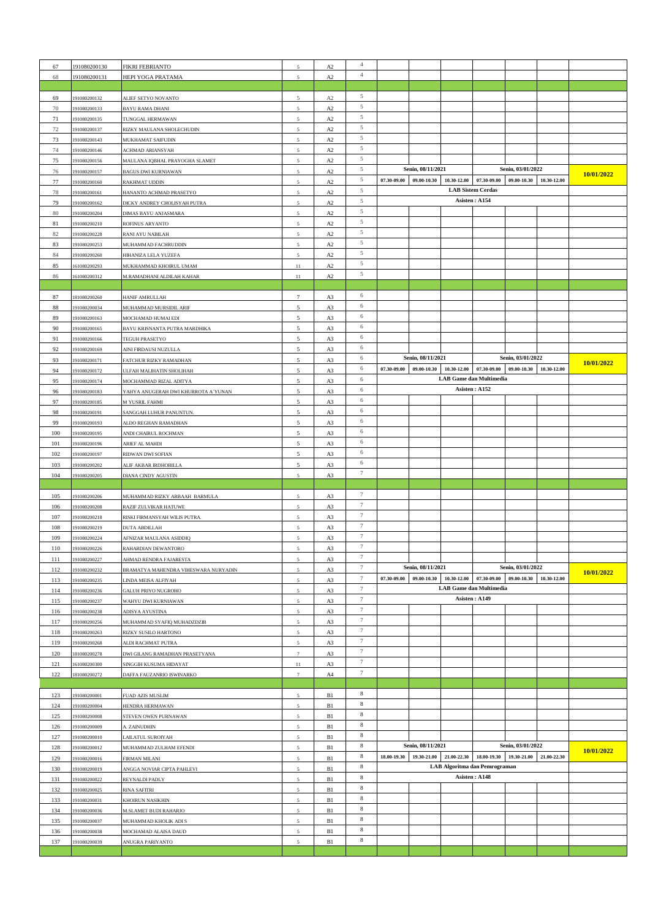| 67     | 191080200130 | <b>FIKRI FEBRIANTO</b>               | 5                | A2             | $\overline{4}$  |             |                   |                 |                                |                         |             |            |
|--------|--------------|--------------------------------------|------------------|----------------|-----------------|-------------|-------------------|-----------------|--------------------------------|-------------------------|-------------|------------|
| 68     | 191080200131 | HEPI YOGA PRATAMA                    | 5                | A2             | $\overline{4}$  |             |                   |                 |                                |                         |             |            |
|        |              |                                      |                  |                |                 |             |                   |                 |                                |                         |             |            |
| 69     | 191080200132 | ALIEF SETYO NOVANTO                  | 5                | A <sub>2</sub> | 5               |             |                   |                 |                                |                         |             |            |
| 70     | 191080200133 | BAYU RAMA DHANI                      | 5                | $\mathbf{A2}$  | $\mathfrak{s}$  |             |                   |                 |                                |                         |             |            |
| 71     | 191080200135 | TUNGGAL HERMAWAN                     | $\mathfrak{s}$   | A2             | $\sqrt{5}$      |             |                   |                 |                                |                         |             |            |
| $72\,$ | 191080200137 | RIZKY MAULANA SHOLECHUDIN            | 5                | A2             | $\overline{5}$  |             |                   |                 |                                |                         |             |            |
| 73     | 191080200143 | MUKHAMAT SAIFUDIN                    | $\sqrt{5}$       | A2             | $\sqrt{5}$      |             |                   |                 |                                |                         |             |            |
| 74     | 191080200146 | ACHMAD ARIANSYAH                     | 5                | A2             | $\sqrt{5}$      |             |                   |                 |                                |                         |             |            |
| 75     | 91080200156  | MAULANA IQBHAL PRAYOGHA SLAMET       | 5                | A2             | 5               |             |                   |                 |                                |                         |             |            |
| 76     | 191080200157 | BAGUS DWI KURNIAWAN                  | 5                | A2             | $\sqrt{5}$      |             | Senin, 08/11/2021 |                 |                                | Senin, 03/01/2022       |             | 10/01/2022 |
| 77     | 91080200160  | RAKHMAT UDDIN                        | 5                | A2             | 5               | 07.30-09.00 | 09.00-10.30       | 10.30-12.00     | 07.30-09.00                    | 09.00-10.30             | 10.30-12.00 |            |
| 78     | 191080200161 | HANANTO ACHMAD PRASETYO              | $\sqrt{5}$       | A2             | $\sqrt{5}$      |             |                   |                 | <b>LAB Sistem Cerdas</b>       |                         |             |            |
| 79     | 191080200162 | DICKY ANDREY CHOLISYAH PUTRA         | 5                | A2             | $\sqrt{5}$      |             |                   |                 | Asisten: A154                  |                         |             |            |
| 80     | 191080200204 | DIMAS BAYU ANJASMARA                 | 5                | A2             | 5               |             |                   |                 |                                |                         |             |            |
| $81\,$ | 191080200210 | ROFINUS ARYANTO                      | 5                | A2             | $\sqrt{5}$      |             |                   |                 |                                |                         |             |            |
| 82     | 91080200228  | RANI AYU NABILAH                     | 5                | A2             | $\overline{5}$  |             |                   |                 |                                |                         |             |            |
| 83     | 191080200253 | MUHAMMAD FACHRUDDIN                  | $\sqrt{5}$       | A2             | $\sqrt{5}$      |             |                   |                 |                                |                         |             |            |
| 84     | 191080200260 | HIHANIZA LELA YUZEFA                 | 5                | A2             | $\sqrt{5}$      |             |                   |                 |                                |                         |             |            |
| 85     | 161080200293 | MUKHAMMAD KHOIRUL UMAM               | 11               | A2             | $\mathfrak{s}$  |             |                   |                 |                                |                         |             |            |
| 86     | 161080200312 | M.RAMADHANI ALDILAH KAHAR            | $11\,$           | A2             | $\sqrt{5}$      |             |                   |                 |                                |                         |             |            |
|        |              |                                      |                  |                |                 |             |                   |                 |                                |                         |             |            |
| 87     | 181080200260 | HANIF AMRULLAH                       | $\boldsymbol{7}$ | A3             | 6               |             |                   |                 |                                |                         |             |            |
| 88     | 191080200034 | MUHAMMAD MURSIDIL ARIF               | 5                | A3             | 6               |             |                   |                 |                                |                         |             |            |
| 89     | 91080200163  | MOCHAMAD HUMAI EDI                   | 5                | A3             | 6               |             |                   |                 |                                |                         |             |            |
| 90     | 191080200165 | BAYU KRISNANTA PUTRA MARDHIKA        | 5                | A3             | $\,$ 6 $\,$     |             |                   |                 |                                |                         |             |            |
| 91     | 91080200166  | TEGUH PRASETYO                       | $\sqrt{5}$       | A3             | 6               |             |                   |                 |                                |                         |             |            |
| 92     | 191080200169 | AINI FIRDAUSI NUZULLA                | $\sqrt{5}$       | A3             | $\,$ 6 $\,$     |             |                   |                 |                                |                         |             |            |
| 93     | 191080200171 | FATCHUR RIZKY RAMADHAN               | 5                | A3             | 6               |             | Senin, 08/11/2021 |                 |                                | Senin, 03/01/2022       |             | 10/01/2022 |
| 94     | 91080200172  | ULFAH MALIHATIN SHOLIHAH             | 5                | A3             | 6               | 07.30-09.00 | 09.00-10.30       | $10.30 - 12.00$ | 07.30-09.00                    | 09.00-10.30             | 10.30-12.00 |            |
| 95     | 191080200174 | MOCHAMMAD RIZAL ADITYA               | 5                | A3             | $\sqrt{6}$      |             |                   |                 | <b>LAB Game dan Multimedia</b> |                         |             |            |
| 96     | 91080200183  | YAHYA ANUGERAH DWI KHURROTA A'YUNAN  | $\sqrt{5}$       | A3             | 6               |             |                   |                 | Asisten: A152                  |                         |             |            |
| 97     | 191080200185 | M YUSRIL FAHMI                       | $\sqrt{5}$       | A3             | $\,$ 6 $\,$     |             |                   |                 |                                |                         |             |            |
| 98     | 191080200191 | SANGGAH LUHUR PANUNTUN.              | 5                | A3             | 6               |             |                   |                 |                                |                         |             |            |
| 99     | 91080200193  | ALDO REGHAN RAMADHAN                 | 5                | A3             | 6               |             |                   |                 |                                |                         |             |            |
| 100    | 191080200195 | ANDI CHAIRUL ROCHMAN                 | 5                | A3             | $\,$ 6 $\,$     |             |                   |                 |                                |                         |             |            |
| 101    | 191080200196 | ARIEF AL MAHDI                       | $\sqrt{5}$       | A3             | 6               |             |                   |                 |                                |                         |             |            |
| 102    | 91080200197  | RIDWAN DWI SOFIAN                    | 5                | A3             | $\,$ 6 $\,$     |             |                   |                 |                                |                         |             |            |
| 103    | 191080200202 | ALIF AKBAR IRDHOBILLA                | 5                |                | 6               |             |                   |                 |                                |                         |             |            |
|        |              |                                      |                  | A3             |                 |             |                   |                 |                                |                         |             |            |
| 104    | 191080200205 | DIANA CINDY AGUSTIN                  | 5                | A3             | $\tau$          |             |                   |                 |                                |                         |             |            |
|        |              |                                      |                  |                |                 |             |                   |                 |                                |                         |             |            |
| 105    | 191080200206 | MUHAMMAD RIZKY ARBAAH BARMULA        | 5                | A3             | $7\phantom{.0}$ |             |                   |                 |                                |                         |             |            |
| 106    | 91080200208  | RAZIF ZULVIKAR HATUWE                | 5                | A3             | $\tau$          |             |                   |                 |                                |                         |             |            |
| 107    | 191080200218 | RISKI FIRMANSYAH WILIS PUTRA.        | 5                | A3             | $\tau$          |             |                   |                 |                                |                         |             |            |
| 108    | 91080200219  | <b>DUTA ABDILLAH</b>                 | 5                | A3             | $\tau$          |             |                   |                 |                                |                         |             |            |
| 109    | 191080200224 | AFNIZAR MAULANA ASIDDIQ              | 5                | A3             | $7\phantom{.0}$ |             |                   |                 |                                |                         |             |            |
| 110    | 191080200226 | RAHARDIAN DEWANTORO                  | 5                | A3             | $\tau$          |             |                   |                 |                                |                         |             |            |
| 111    | 191080200227 | AHMAD RENDRA FAJARESTA               | 5                | A3             | $\tau$          |             |                   |                 |                                |                         |             |            |
| 112    | 191080200232 | BRAMATYA MAHENDRA VIHESWARA NURYADIN | 5                | A3             | $\tau$          |             | Senin, 08/11/2021 |                 |                                | Senin, 03/01/2022       |             |            |
| 113    | 191080200235 | LINDA MEISA ALFIYAH                  | $5^{\circ}$      | A3             | $\tau$          | 07.30-09.00 | 09.00-10.30       | 10.30-12.00     | 07.30-09.00                    | 09.00-10.30             | 10.30-12.00 | 10/01/2022 |
| 114    | 191080200236 | GALUH PRIYO NUGROHO                  | 5                | A3             | $\tau$          |             |                   |                 | <b>LAB Game dan Multimedia</b> |                         |             |            |
| 115    | 191080200237 | WAHYU DWI KURNIAWAN                  | $\sqrt{5}$       | A3             | $7\phantom{.0}$ |             |                   |                 | Asisten: A149                  |                         |             |            |
| 116    | 191080200238 | ADISYA AYUSTINA                      | 5 <sub>1</sub>   | A3             | $\tau$          |             |                   |                 |                                |                         |             |            |
| 117    | 191080200256 | MUHAMMAD SYAFIQ MUHADZDZIB           | 5                | A3             | $\tau$          |             |                   |                 |                                |                         |             |            |
| 118    | 191080200263 | RIZKY SUSILO HARTONO                 | $5^{\circ}$      | A3             | $\tau$          |             |                   |                 |                                |                         |             |            |
| 119    | 191080200268 | ALDI RACHMAT PUTRA                   | 5                | A3             | $\tau$          |             |                   |                 |                                |                         |             |            |
| 120    | 181080200278 | DWI GILANG RAMADHAN PRASETYANA       | $\tau$           | A3             | $7\phantom{.0}$ |             |                   |                 |                                |                         |             |            |
| 121    | 161080200300 | SINGGIH KUSUMA HIDAYAT               | 11               | A3             | $\tau$          |             |                   |                 |                                |                         |             |            |
| 122    | 181080200272 | DAFFA FAUZANRIO ISWINARKO            | $\tau$           | A4             | $\tau$          |             |                   |                 |                                |                         |             |            |
|        |              |                                      |                  |                |                 |             |                   |                 |                                |                         |             |            |
| 123    | 191080200001 | FUAD AZIS MUSLIM                     | 5                | B1             | 8               |             |                   |                 |                                |                         |             |            |
| 124    | 191080200004 | HENDRA HERMAWAN                      | $\sqrt{5}$       | B1             | $\,$ 8 $\,$     |             |                   |                 |                                |                         |             |            |
| 125    | 191080200008 | STEVEN OWEN PURNAWAN                 | 5 <sub>1</sub>   | B1             | $\,$ 8 $\,$     |             |                   |                 |                                |                         |             |            |
| 126    | 191080200009 | A. ZAINUDHIN                         | 5                | B1             | $\bf8$          |             |                   |                 |                                |                         |             |            |
| 127    | 191080200010 | LAILATUL SUROIYAH                    | $5^{\circ}$      | B1             | 8               |             |                   |                 |                                |                         |             |            |
| 128    | 191080200012 | MUHAMMAD ZULHAM EFENDI               | 5                | B1             | $\bf8$          |             | Senin, 08/11/2021 |                 |                                | Senin, 03/01/2022       |             | 10/01/2022 |
| 129    | 191080200016 | FIRMAN MILANI                        | $\sqrt{5}$       | B1             | 8               | 18.00-19.30 | 19.30-21.00       | 21.00-22.30     | 18.00-19.30                    | 19.30-21.00 21.00-22.30 |             |            |
| 130    | 191080200019 | ANGGA NOVIAR CIPTA PAHLEVI           | $5^{\circ}$      | B1             | $\,$ 8 $\,$     |             |                   |                 | LAB Algoritma dan Pemrograman  |                         |             |            |
| 131    | 191080200022 | REYNALDI PADLY                       | 5                | B1             | $\,$ 8 $\,$     |             |                   |                 | Asisten: A148                  |                         |             |            |
| 132    | 191080200025 | RINA SAFITRI                         | $5^{\circ}$      | B1             | $\bf 8$         |             |                   |                 |                                |                         |             |            |
| 133    | 191080200031 | KHOIRUN NASIKHIN                     | 5                | B1             | $\bf8$          |             |                   |                 |                                |                         |             |            |
| 134    | 191080200036 | M.SLAMET BUDI RAHARJO                | $\sqrt{5}$       | B1             | 8               |             |                   |                 |                                |                         |             |            |
| 135    | 191080200037 | MUHAMMAD KHOLIK ADI S                | $5^{\circ}$      | B1             | $\,$ 8 $\,$     |             |                   |                 |                                |                         |             |            |
| 136    | 191080200038 | MOCHAMAD ALAISA DAUD                 | 5                | B1             | $\,$ 8 $\,$     |             |                   |                 |                                |                         |             |            |
| 137    | 191080200039 | ANUGRA PARIYANTO                     | $\mathfrak{s}$   | B1             | $\bf 8$         |             |                   |                 |                                |                         |             |            |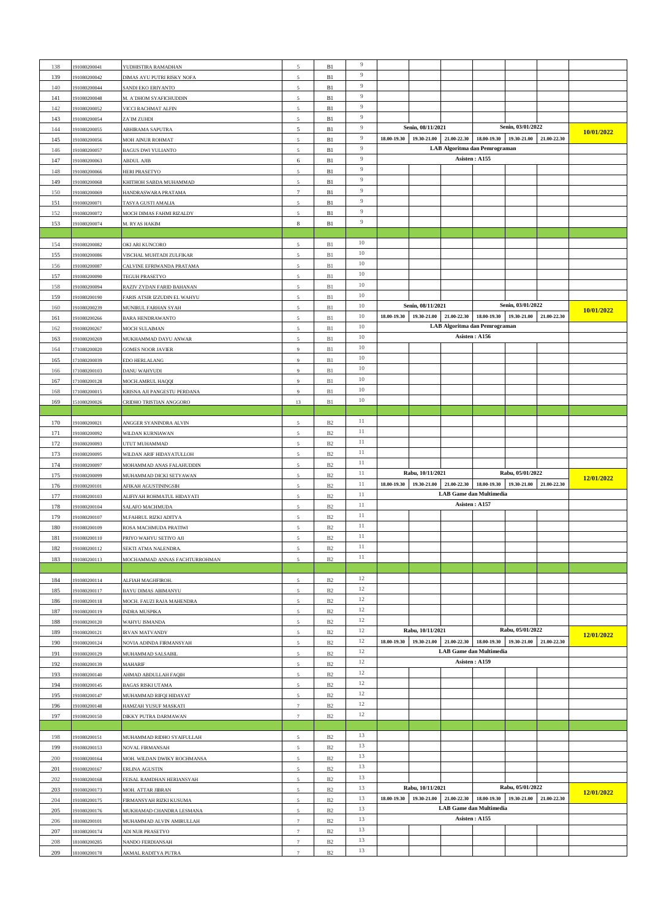|            |                              |                                         |                                       |                | 9              |             |                   |                                |               |                                                             |             |            |
|------------|------------------------------|-----------------------------------------|---------------------------------------|----------------|----------------|-------------|-------------------|--------------------------------|---------------|-------------------------------------------------------------|-------------|------------|
| 138        | 191080200041                 | YUDHISTIRA RAMADHAN                     | 5                                     | B1             |                |             |                   |                                |               |                                                             |             |            |
| 139        | 191080200042                 | DIMAS AYU PUTRI RISKY NOFA              | 5                                     | B1             | 9              |             |                   |                                |               |                                                             |             |            |
| 140        | 191080200044                 | SANDI EKO ERIYANTO                      | $\sqrt{5}$                            | B1             | $\overline{9}$ |             |                   |                                |               |                                                             |             |            |
| 141        | 191080200048                 | M. A'DHOM SYAFICHUDDIN                  | $\overline{\phantom{0}}$              | B1             | $\overline{9}$ |             |                   |                                |               |                                                             |             |            |
| 142        | 191080200052                 | VICCI RACHMAT ALFIN                     | 5                                     | B1             | 9              |             |                   |                                |               |                                                             |             |            |
| 143        | 191080200054                 |                                         | $\mathfrak{s}$                        | B1             | 9              |             |                   |                                |               |                                                             |             |            |
|            |                              | ZA'IM ZUHDI                             |                                       |                | 9              |             | Senin, 08/11/2021 |                                |               | Senin, 03/01/2022                                           |             |            |
| 144        | 191080200055                 | ABHIRAMA SAPUTRA                        | 5                                     | B1             |                |             |                   |                                |               |                                                             |             | 10/01/2022 |
| 145        | 191080200056                 | MOH AINUR ROHMAT                        | $\sqrt{5}$                            | B1             | $\overline{9}$ | 18.00-19.30 | 19.30-21.00       | 21.00-22.30                    | 18.00-19.30   | 19.30-21.00                                                 | 21.00-22.30 |            |
| 146        | 191080200057                 | <b>BAGUS DWI YULIANTO</b>               | 5                                     | B1             | $\overline{9}$ |             |                   | LAB Algoritma dan Pemrograman  |               |                                                             |             |            |
| 147        | 191080200063                 | <b>ABDUL AJIB</b>                       | 6                                     | B1             | 9              |             |                   |                                | Asisten: A155 |                                                             |             |            |
| 148        | 191080200066                 | HERI PRASETYO                           | 5                                     | B1             | 9              |             |                   |                                |               |                                                             |             |            |
| 149        | 191080200068                 |                                         | 5                                     | B1             | 9              |             |                   |                                |               |                                                             |             |            |
|            |                              | KHITHOH SABDA MUHAMMAD                  |                                       |                | $\overline{9}$ |             |                   |                                |               |                                                             |             |            |
| 150        | 191080200069                 | HANDRASWARA PRATAMA                     | $\tau$                                | ${\bf B1}$     |                |             |                   |                                |               |                                                             |             |            |
| 151        | 191080200071                 | TASYA GUSTI AMALIA                      | 5                                     | B1             | $\overline{9}$ |             |                   |                                |               |                                                             |             |            |
| 152        | 191080200072                 | MOCH DIMAS FAHMI RIZALDY                | 5                                     | B1             | 9              |             |                   |                                |               |                                                             |             |            |
| 153        | 191080200074                 | M. RYAS HAKIM                           | $\,$ 8 $\,$                           | B1             | 9              |             |                   |                                |               |                                                             |             |            |
|            |                              |                                         |                                       |                |                |             |                   |                                |               |                                                             |             |            |
| 154        |                              |                                         |                                       | B1             | 10             |             |                   |                                |               |                                                             |             |            |
|            | 191080200082                 | OKI ARI KUNCORO                         | $\sqrt{5}$                            |                | 10             |             |                   |                                |               |                                                             |             |            |
| 155        | 191080200086                 | VISCHAL MUHTADI ZULFIKAR                | 5                                     | B1             |                |             |                   |                                |               |                                                             |             |            |
| 156        | 191080200087                 | CALVINE EFRIWANDA PRATAMA               | $\sqrt{5}$                            | B1             | 10             |             |                   |                                |               |                                                             |             |            |
| 157        | 191080200090                 | TEGUH PRASETYO                          | 5                                     | B1             | $10\,$         |             |                   |                                |               |                                                             |             |            |
| 158        | 191080200094                 | RAZIV ZYDAN FARID BAHANAN               | $\sqrt{5}$                            | B1             | 10             |             |                   |                                |               |                                                             |             |            |
| 159        | 191080200190                 | FARIS ATSIR IZZUDIN EL WAHYU            | $\sqrt{5}$                            | B1             | $10$           |             |                   |                                |               |                                                             |             |            |
|            |                              |                                         |                                       |                | 10             |             | Senin, 08/11/2021 |                                |               | Senin, 03/01/2022                                           |             |            |
| 160        | 191080200239                 | MUNIRUL FARHAN SYAH                     | 5                                     | B1             |                |             |                   |                                |               |                                                             |             | 10/01/2022 |
| 161        | 191080200266                 | <b>BARA HENDRAWANTO</b>                 | 5                                     | B1             | 10             | 18.00-19.30 | 19.30-21.00       | 21.00-22.30                    | 18.00-19.30   | 19.30-21.00                                                 | 21.00-22.30 |            |
| 162        | 191080200267                 | MOCH SULAIMAN                           | 5                                     | B1             | $10\,$         |             |                   | LAB Algoritma dan Pemrograman  |               |                                                             |             |            |
| 163        | 191080200269                 | MUKHAMMAD DAYU ANWAR                    | $\sqrt{5}$                            | B1             | 10             |             |                   |                                | Asisten: A156 |                                                             |             |            |
| 164        | 171080200020                 | <b>GOMES NOOR JAVIER</b>                | $\overline{9}$                        | B1             | $10\,$         |             |                   |                                |               |                                                             |             |            |
| 165        |                              |                                         |                                       | B1             | 10             |             |                   |                                |               |                                                             |             |            |
|            | 171080200039                 | EDO HERLALANG                           | 9                                     |                | 10             |             |                   |                                |               |                                                             |             |            |
| 166        | 171080200103                 | DANU WAHYUDI                            | 9                                     | B1             |                |             |                   |                                |               |                                                             |             |            |
| 167        | 171080200128                 | MOCH.AMRUL HAQQI                        | $\overline{9}$                        | B1             | $10\,$         |             |                   |                                |               |                                                             |             |            |
| 168        | 171080200015                 | KRISNA AJI PANGESTU PERDANA             | $\overline{9}$                        | B1             | 10             |             |                   |                                |               |                                                             |             |            |
| 169        | 151080200026                 | CRIDHO TRISTIAN ANGGORO                 | 13                                    | B1             | $10\,$         |             |                   |                                |               |                                                             |             |            |
|            |                              |                                         |                                       |                |                |             |                   |                                |               |                                                             |             |            |
|            |                              |                                         |                                       |                | 11             |             |                   |                                |               |                                                             |             |            |
| 170        | 191080200021                 | ANGGER SYANINDRA ALVIN                  | 5                                     | B <sub>2</sub> | 11             |             |                   |                                |               |                                                             |             |            |
| 171        | 191080200092                 | WILDAN KURNIAWAN                        | $\mathfrak{s}$                        | B2             |                |             |                   |                                |               |                                                             |             |            |
| 172        | 191080200093                 | UTUT MUHAMMAD                           | $\sqrt{5}$                            | B2             | 11             |             |                   |                                |               |                                                             |             |            |
| 173        | 191080200095                 | WILDAN ARIF HIDAYATULLOH                | 5                                     | B2             | $11\,$         |             |                   |                                |               |                                                             |             |            |
|            |                              |                                         |                                       |                |                |             |                   |                                |               |                                                             |             |            |
| 174        | 191080200097                 |                                         | 5                                     | B <sub>2</sub> | 11             |             |                   |                                |               |                                                             |             |            |
|            |                              | MOHAMMAD ANAS FALAHUDDIN                |                                       |                | 11             |             | Rabu, 10/11/2021  |                                |               | Rabu, 05/01/2022                                            |             |            |
| 175        | 191080200099                 | MUHAMMAD DICKI SETYAWAN                 | 5                                     | B2             |                |             |                   |                                |               |                                                             |             | 12/01/2022 |
| 176        | 191080200101                 | AFIKAH AGUSTININGSIH                    | 5                                     | B2             | 11             | 18.00-19.30 | 19.30-21.00       | 21.00-22.30                    | 18.00-19.30   | 19.30-21.00 21.00-22.30                                     |             |            |
| 177        | 191080200103                 | ALIFIYAH ROHMATUL HIDAYATI              | $\sqrt{5}$                            | B <sub>2</sub> | 11             |             |                   | <b>LAB Game dan Multimedia</b> |               |                                                             |             |            |
| 178        | 191080200104                 | <b>SALAFO MACHMUDA</b>                  | 5                                     | B2             | $11\,$         |             |                   |                                | Asisten: A157 |                                                             |             |            |
| 179        | 191080200107                 | M.FAHRUL RIZKI ADITYA                   | 5                                     | B2             | 11             |             |                   |                                |               |                                                             |             |            |
| 180        | 191080200109                 | ROSA MACHMUDA PRATIWI                   | 5                                     | B <sub>2</sub> | 11             |             |                   |                                |               |                                                             |             |            |
|            |                              |                                         |                                       |                | 11             |             |                   |                                |               |                                                             |             |            |
| 181        | 191080200110                 | PRIYO WAHYU SETIYO AJI                  | 5                                     | B <sub>2</sub> |                |             |                   |                                |               |                                                             |             |            |
| 182        | 191080200112                 | SEKTI ATMA NALENDRA.                    | 5                                     | B2             | 11             |             |                   |                                |               |                                                             |             |            |
| 183        | 191080200113                 | MOCHAMMAD ANNAS FACHTURROHMAN           | 5                                     | B <sub>2</sub> | 11             |             |                   |                                |               |                                                             |             |            |
|            |                              |                                         |                                       |                |                |             |                   |                                |               |                                                             |             |            |
| 184        | 191080200114                 | ALFIAH MAGHFIROH.                       | $5^{\circ}$                           | B <sub>2</sub> | 12             |             |                   |                                |               |                                                             |             |            |
|            |                              |                                         |                                       |                | 12             |             |                   |                                |               |                                                             |             |            |
| 185        | 191080200117                 | BAYU DIMAS ABIMANYU                     | $\sqrt{5}$                            | B <sub>2</sub> | 12             |             |                   |                                |               |                                                             |             |            |
| 186        | 191080200118                 | MOCH. FAUZI RAJA MAHENDRA               | 5                                     | B <sub>2</sub> |                |             |                   |                                |               |                                                             |             |            |
| 187        | 191080200119                 | <b>INDRA MUSPIKA</b>                    | $5^{\circ}$                           | B <sub>2</sub> | 12             |             |                   |                                |               |                                                             |             |            |
| 188        | 191080200120                 | WAHYU ISMANDA                           | 5                                     | B2             | 12             |             |                   |                                |               |                                                             |             |            |
| 189        | 191080200121                 | <b>IRVAN MATVANDY</b>                   | $\sqrt{5}$                            | B <sub>2</sub> | 12             |             | Rabu, 10/11/2021  |                                |               | Rabu, 05/01/2022                                            |             |            |
| 190        | 191080200124                 | NOVIA ADINDA FIRMANSYAH                 | 5                                     | B2             | 12             | 18.00-19.30 |                   |                                |               | 19.30-21.00 21.00-22.30 18.00-19.30 19.30-21.00 21.00-22.30 |             | 12/01/2022 |
|            |                              |                                         |                                       |                | 12             |             |                   | <b>LAB Game dan Multimedia</b> |               |                                                             |             |            |
| 191        | 191080200129                 | MUHAMMAD SALSABIL                       | 5                                     | B <sub>2</sub> |                |             |                   |                                | Asisten: A159 |                                                             |             |            |
| 192        | 191080200139                 | <b>MAHARIF</b>                          | $5^{\circ}$                           | B <sub>2</sub> | 12             |             |                   |                                |               |                                                             |             |            |
| 193        | 191080200140                 | AHMAD ABDULLAH FAQIH                    | 5                                     | B2             | 12             |             |                   |                                |               |                                                             |             |            |
| 194        | 191080200145                 | <b>BAGAS RISKI UTAMA</b>                | $\sqrt{5}$                            | B <sub>2</sub> | $12 \,$        |             |                   |                                |               |                                                             |             |            |
| 195        | 191080200147                 | MUHAMMAD RIFQI HIDAYAT                  | 5                                     | B2             | 12             |             |                   |                                |               |                                                             |             |            |
| 196        | 191080200148                 |                                         | $\scriptstyle\rm 7$                   | B <sub>2</sub> | 12             |             |                   |                                |               |                                                             |             |            |
|            |                              | HAMZAH YUSUF MASKATI                    |                                       |                | 12             |             |                   |                                |               |                                                             |             |            |
| 197        | 191080200150                 | DIKKY PUTRA DARMAWAN                    | $7\phantom{.}$                        | B <sub>2</sub> |                |             |                   |                                |               |                                                             |             |            |
|            |                              |                                         |                                       |                |                |             |                   |                                |               |                                                             |             |            |
| 198        | 191080200151                 | MUHAMMAD RIDHO SYAIFULLAH               | $5^{\circ}$                           | B <sub>2</sub> | 13             |             |                   |                                |               |                                                             |             |            |
| 199        | 191080200153                 | NOVAL FIRMANSAH                         | 5                                     | B <sub>2</sub> | 13             |             |                   |                                |               |                                                             |             |            |
| 200        | 191080200164                 | MOH. WILDAN DWIKY ROCHMANSA             | 5                                     | B <sub>2</sub> | 13             |             |                   |                                |               |                                                             |             |            |
|            |                              |                                         |                                       |                | 13             |             |                   |                                |               |                                                             |             |            |
| 201        | 191080200167                 | ERLINA AGUSTIN                          | 5 <sub>1</sub>                        | B <sub>2</sub> | 13             |             |                   |                                |               |                                                             |             |            |
| 202        | 191080200168                 | FEISAL RAMDHAN HERIANSYAH               | 5                                     | B <sub>2</sub> |                |             |                   |                                |               |                                                             |             |            |
| 203        | 191080200173                 | MOH. ATTAR JIBRAN                       | $\sqrt{5}$                            | B <sub>2</sub> | 13             |             | Rabu, 10/11/2021  |                                |               | Rabu, 05/01/2022                                            |             | 12/01/2022 |
| 204        | 191080200175                 | FIRMANSYAH RIZKI KUSUMA                 | 5                                     | B <sub>2</sub> | 13             | 18.00-19.30 |                   | 19.30-21.00 21.00-22.30        | 18.00-19.30   | 19.30-21.00 21.00-22.30                                     |             |            |
| 205        | 191080200176                 | MUKHAMAD CHANDRA LESMANA                | 5                                     | B <sub>2</sub> | 13             |             |                   | <b>LAB Game dan Multimedia</b> |               |                                                             |             |            |
| 206        | 181080200101                 | MUHAMMAD ALVIN AMIRULLAH                | $7\phantom{.}$                        | B <sub>2</sub> | 13             |             |                   |                                | Asisten: A155 |                                                             |             |            |
| 207        |                              |                                         | $\tau$                                | B2             | 13             |             |                   |                                |               |                                                             |             |            |
|            | 181080200174                 | ADI NUR PRASETYO                        |                                       |                | 13             |             |                   |                                |               |                                                             |             |            |
| 208<br>209 | 181080200285<br>181080200178 | NANDO FERDIANSAH<br>AKMAL RADITYA PUTRA | $\boldsymbol{7}$<br>$\scriptstyle{7}$ | B2<br>B2       | 13             |             |                   |                                |               |                                                             |             |            |